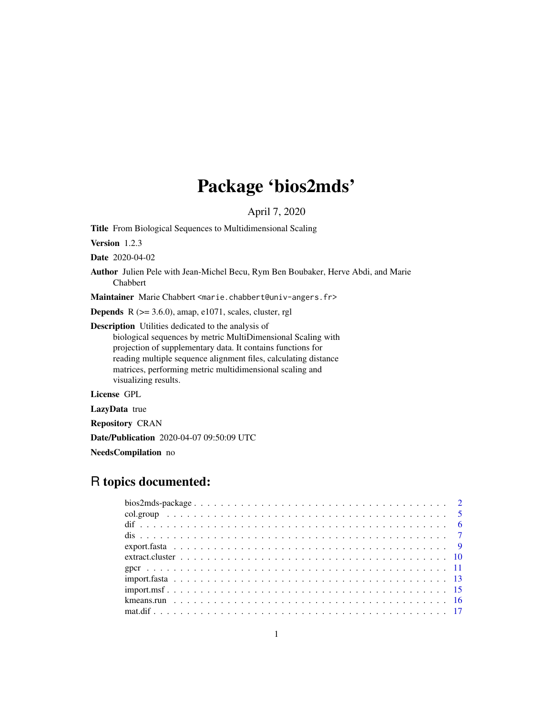# Package 'bios2mds'

April 7, 2020

Title From Biological Sequences to Multidimensional Scaling

Version 1.2.3

Date 2020-04-02

Author Julien Pele with Jean-Michel Becu, Rym Ben Boubaker, Herve Abdi, and Marie Chabbert

Maintainer Marie Chabbert <marie.chabbert@univ-angers.fr>

**Depends** R  $(>= 3.6.0)$ , amap, e1071, scales, cluster, rgl

Description Utilities dedicated to the analysis of

biological sequences by metric MultiDimensional Scaling with projection of supplementary data. It contains functions for reading multiple sequence alignment files, calculating distance matrices, performing metric multidimensional scaling and visualizing results.

License GPL

LazyData true

Repository CRAN

Date/Publication 2020-04-07 09:50:09 UTC

NeedsCompilation no

# R topics documented: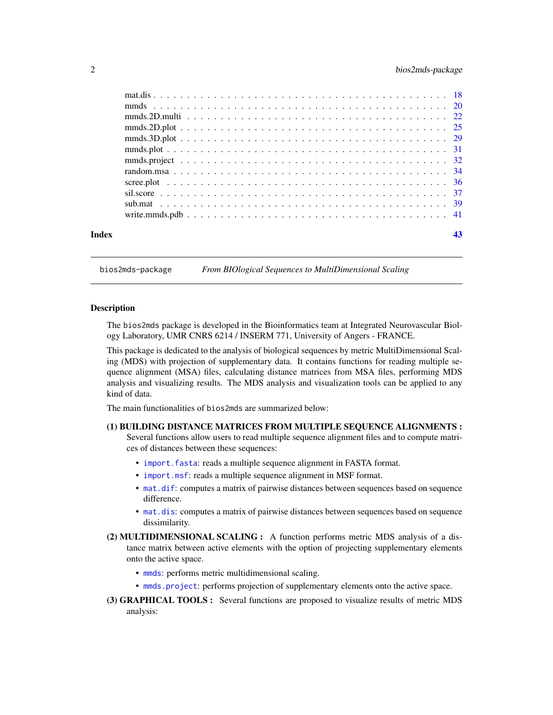# <span id="page-1-0"></span>2 bios2mds-package

| Index |  |
|-------|--|

bios2mds-package *From BIOlogical Sequences to MultiDimensional Scaling*

#### Description

The bios2mds package is developed in the Bioinformatics team at Integrated Neurovascular Biology Laboratory, UMR CNRS 6214 / INSERM 771, University of Angers - FRANCE.

This package is dedicated to the analysis of biological sequences by metric MultiDimensional Scaling (MDS) with projection of supplementary data. It contains functions for reading multiple sequence alignment (MSA) files, calculating distance matrices from MSA files, performing MDS analysis and visualizing results. The MDS analysis and visualization tools can be applied to any kind of data.

The main functionalities of bios2mds are summarized below:

# (1) BUILDING DISTANCE MATRICES FROM MULTIPLE SEQUENCE ALIGNMENTS :

Several functions allow users to read multiple sequence alignment files and to compute matrices of distances between these sequences:

- [import.fasta](#page-12-1): reads a multiple sequence alignment in FASTA format.
- [import.msf](#page-14-1): reads a multiple sequence alignment in MSF format.
- [mat.dif](#page-16-1): computes a matrix of pairwise distances between sequences based on sequence difference.
- [mat.dis](#page-17-1): computes a matrix of pairwise distances between sequences based on sequence dissimilarity.
- (2) MULTIDIMENSIONAL SCALING : A function performs metric MDS analysis of a distance matrix between active elements with the option of projecting supplementary elements onto the active space.
	- [mmds](#page-19-1): performs metric multidimensional scaling.
	- [mmds.project](#page-31-1): performs projection of supplementary elements onto the active space.
- (3) GRAPHICAL TOOLS : Several functions are proposed to visualize results of metric MDS analysis: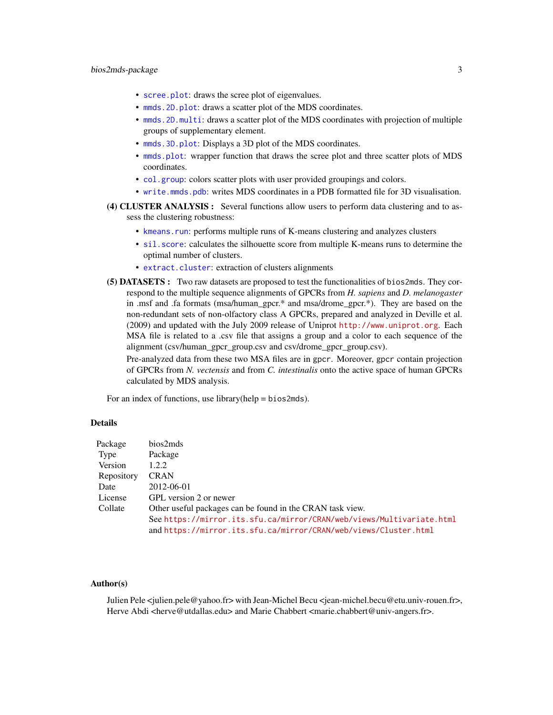# <span id="page-2-0"></span>bios2mds-package 3

- [scree.plot](#page-35-1): draws the scree plot of eigenvalues.
- mmds. 2D. plot: draws a scatter plot of the MDS coordinates.
- [mmds.2D.multi](#page-21-1): draws a scatter plot of the MDS coordinates with projection of multiple groups of supplementary element.
- [mmds.3D.plot](#page-28-1): Displays a 3D plot of the MDS coordinates.
- [mmds.plot](#page-30-1): wrapper function that draws the scree plot and three scatter plots of MDS coordinates.
- [col.group](#page-4-1): colors scatter plots with user provided groupings and colors.
- [write.mmds.pdb](#page-40-1): writes MDS coordinates in a PDB formatted file for 3D visualisation.
- (4) CLUSTER ANALYSIS : Several functions allow users to perform data clustering and to assess the clustering robustness:
	- [kmeans.run](#page-15-1): performs multiple runs of K-means clustering and analyzes clusters
	- [sil.score](#page-36-1): calculates the silhouette score from multiple K-means runs to determine the optimal number of clusters.
	- [extract.cluster](#page-9-1): extraction of clusters alignments
- (5) DATASETS : Two raw datasets are proposed to test the functionalities of bios2mds. They correspond to the multiple sequence alignments of GPCRs from *H. sapiens* and *D. melanogaster* in .msf and .fa formats (msa/human\_gpcr.\* and msa/drome\_gpcr.\*). They are based on the non-redundant sets of non-olfactory class A GPCRs, prepared and analyzed in Deville et al. (2009) and updated with the July 2009 release of Uniprot <http://www.uniprot.org>. Each MSA file is related to a .csv file that assigns a group and a color to each sequence of the alignment (csv/human\_gpcr\_group.csv and csv/drome\_gpcr\_group.csv).

Pre-analyzed data from these two MSA files are in gpcr. Moreover, gpcr contain projection of GPCRs from *N. vectensis* and from *C. intestinalis* onto the active space of human GPCRs calculated by MDS analysis.

For an index of functions, use library(help = bios2mds).

# Details

| Package    | bios2mds                                                              |
|------------|-----------------------------------------------------------------------|
| Type       | Package                                                               |
| Version    | 1.2.2                                                                 |
| Repository | <b>CRAN</b>                                                           |
| Date       | 2012-06-01                                                            |
| License    | GPL version 2 or newer                                                |
| Collate    | Other useful packages can be found in the CRAN task view.             |
|            | See https://mirror.its.sfu.ca/mirror/CRAN/web/views/Multivariate.html |
|            | and https://mirror.its.sfu.ca/mirror/CRAN/web/views/Cluster.html      |

#### Author(s)

Julien Pele <julien.pele@yahoo.fr> with Jean-Michel Becu <jean-michel.becu@etu.univ-rouen.fr>, Herve Abdi <herve@utdallas.edu> and Marie Chabbert <marie.chabbert@univ-angers.fr>.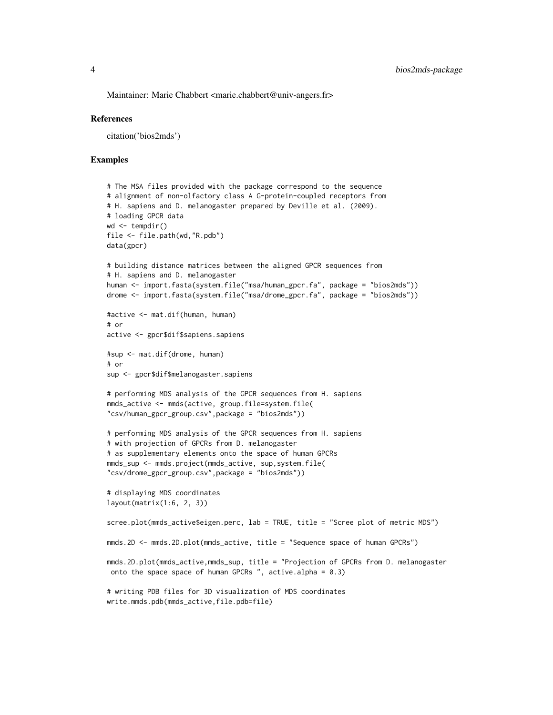Maintainer: Marie Chabbert <marie.chabbert@univ-angers.fr>

#### References

citation('bios2mds')

#### Examples

```
# The MSA files provided with the package correspond to the sequence
# alignment of non-olfactory class A G-protein-coupled receptors from
# H. sapiens and D. melanogaster prepared by Deville et al. (2009).
# loading GPCR data
wd \leq tempdir()
file <- file.path(wd,"R.pdb")
data(gpcr)
# building distance matrices between the aligned GPCR sequences from
# H. sapiens and D. melanogaster
human <- import.fasta(system.file("msa/human_gpcr.fa", package = "bios2mds"))
drome <- import.fasta(system.file("msa/drome_gpcr.fa", package = "bios2mds"))
#active <- mat.dif(human, human)
# or
active <- gpcr$dif$sapiens.sapiens
#sup <- mat.dif(drome, human)
# or
sup <- gpcr$dif$melanogaster.sapiens
# performing MDS analysis of the GPCR sequences from H. sapiens
mmds_active <- mmds(active, group.file=system.file(
"csv/human_gpcr_group.csv",package = "bios2mds"))
# performing MDS analysis of the GPCR sequences from H. sapiens
# with projection of GPCRs from D. melanogaster
# as supplementary elements onto the space of human GPCRs
mmds_sup <- mmds.project(mmds_active, sup,system.file(
"csv/drome_gpcr_group.csv",package = "bios2mds"))
# displaying MDS coordinates
layout(matrix(1:6, 2, 3))
scree.plot(mmds_active$eigen.perc, lab = TRUE, title = "Scree plot of metric MDS")
mmds.2D <- mmds.2D.plot(mmds_active, title = "Sequence space of human GPCRs")
mmds.2D.plot(mmds_active,mmds_sup, title = "Projection of GPCRs from D. melanogaster
 onto the space space of human GPCRs ", active.alpha = 0.3)
# writing PDB files for 3D visualization of MDS coordinates
write.mmds.pdb(mmds_active,file.pdb=file)
```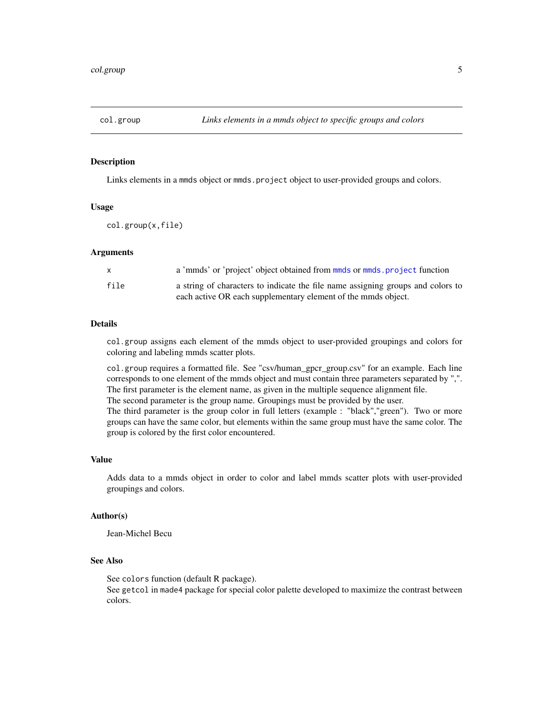<span id="page-4-1"></span><span id="page-4-0"></span>

#### Description

Links elements in a mmds object or mmds.project object to user-provided groups and colors.

#### Usage

col.group(x,file)

#### Arguments

|      | a 'mmds' or 'project' object obtained from mmds or mmds project function        |
|------|---------------------------------------------------------------------------------|
| file | a string of characters to indicate the file name assigning groups and colors to |
|      | each active OR each supplementary element of the mmds object.                   |

# Details

col.group assigns each element of the mmds object to user-provided groupings and colors for coloring and labeling mmds scatter plots.

col.group requires a formatted file. See "csv/human\_gpcr\_group.csv" for an example. Each line corresponds to one element of the mmds object and must contain three parameters separated by ",". The first parameter is the element name, as given in the multiple sequence alignment file. The second parameter is the group name. Groupings must be provided by the user.

The third parameter is the group color in full letters (example : "black","green"). Two or more groups can have the same color, but elements within the same group must have the same color. The group is colored by the first color encountered.

#### Value

Adds data to a mmds object in order to color and label mmds scatter plots with user-provided groupings and colors.

# Author(s)

Jean-Michel Becu

# See Also

See colors function (default R package). See getcol in made4 package for special color palette developed to maximize the contrast between colors.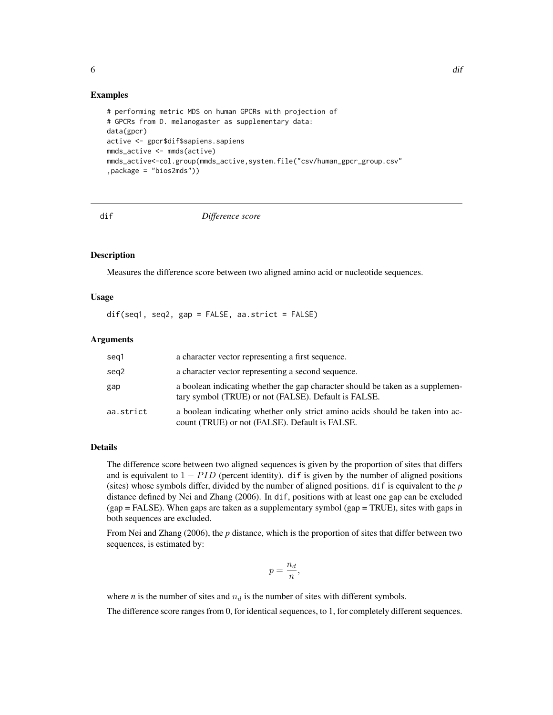#### Examples

```
# performing metric MDS on human GPCRs with projection of
# GPCRs from D. melanogaster as supplementary data:
data(gpcr)
active <- gpcr$dif$sapiens.sapiens
mmds_active <- mmds(active)
mmds_active<-col.group(mmds_active,system.file("csv/human_gpcr_group.csv"
,package = "bios2mds"))
```
dif *Difference score*

#### **Description**

Measures the difference score between two aligned amino acid or nucleotide sequences.

# Usage

 $dif(seq1, seq2, gap = FALSE, aa.strict = FALSE)$ 

#### Arguments

| seg1      | a character vector representing a first sequence.                                                                                      |
|-----------|----------------------------------------------------------------------------------------------------------------------------------------|
| seg2      | a character vector representing a second sequence.                                                                                     |
| gap       | a boolean indicating whether the gap character should be taken as a supplemen-<br>tary symbol (TRUE) or not (FALSE). Default is FALSE. |
| aa.strict | a boolean indicating whether only strict amino acids should be taken into ac-<br>count (TRUE) or not (FALSE). Default is FALSE.        |

# Details

The difference score between two aligned sequences is given by the proportion of sites that differs and is equivalent to  $1 - PID$  (percent identity). dif is given by the number of aligned positions (sites) whose symbols differ, divided by the number of aligned positions. dif is equivalent to the  $p$ distance defined by Nei and Zhang (2006). In dif, positions with at least one gap can be excluded (gap = FALSE). When gaps are taken as a supplementary symbol (gap = TRUE), sites with gaps in both sequences are excluded.

From Nei and Zhang (2006), the *p* distance, which is the proportion of sites that differ between two sequences, is estimated by:

$$
p=\frac{n_d}{n},
$$

where *n* is the number of sites and  $n_d$  is the number of sites with different symbols.

The difference score ranges from 0, for identical sequences, to 1, for completely different sequences.

<span id="page-5-0"></span> $\frac{d}{dt}$  different contracts to the contract of  $\frac{d}{dt}$  different contracts of  $\frac{d}{dt}$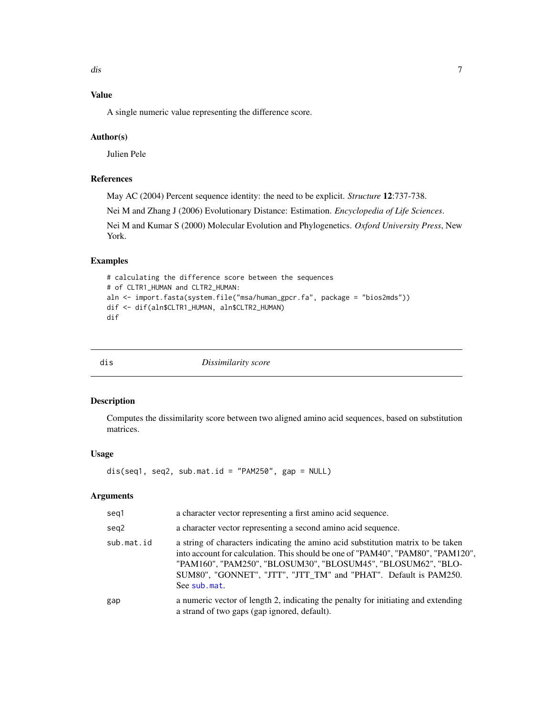# <span id="page-6-0"></span>Value

A single numeric value representing the difference score.

### Author(s)

Julien Pele

# References

May AC (2004) Percent sequence identity: the need to be explicit. *Structure* 12:737-738.

Nei M and Zhang J (2006) Evolutionary Distance: Estimation. *Encyclopedia of Life Sciences*.

Nei M and Kumar S (2000) Molecular Evolution and Phylogenetics. *Oxford University Press*, New York.

# Examples

```
# calculating the difference score between the sequences
# of CLTR1_HUMAN and CLTR2_HUMAN:
aln <- import.fasta(system.file("msa/human_gpcr.fa", package = "bios2mds"))
dif <- dif(aln$CLTR1_HUMAN, aln$CLTR2_HUMAN)
dif
```
dis *Dissimilarity score*

# Description

Computes the dissimilarity score between two aligned amino acid sequences, based on substitution matrices.

#### Usage

dis(seq1, seq2, sub.mat.id = "PAM250", gap = NULL)

| seg1       | a character vector representing a first amino acid sequence.                                                                                                                                                                                                                                                             |
|------------|--------------------------------------------------------------------------------------------------------------------------------------------------------------------------------------------------------------------------------------------------------------------------------------------------------------------------|
| seg2       | a character vector representing a second amino acid sequence.                                                                                                                                                                                                                                                            |
| sub.mat.id | a string of characters indicating the amino acid substitution matrix to be taken<br>into account for calculation. This should be one of "PAM40", "PAM80", "PAM120",<br>"PAM160", "PAM250", "BLOSUM30", "BLOSUM45", "BLOSUM62", "BLO-<br>SUM80", "GONNET", "JTT", "JTT_TM" and "PHAT". Default is PAM250.<br>See sub.mat. |
| gap        | a numeric vector of length 2, indicating the penalty for initiating and extending<br>a strand of two gaps (gap ignored, default).                                                                                                                                                                                        |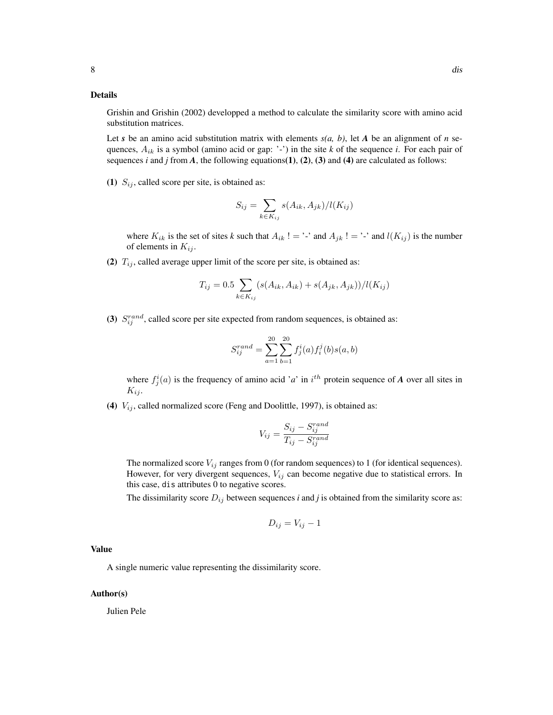# Details

Grishin and Grishin (2002) developped a method to calculate the similarity score with amino acid substitution matrices.

Let *s* be an amino acid substitution matrix with elements  $s(a, b)$ , let *A* be an alignment of *n* sequences,  $A_{ik}$  is a symbol (amino acid or gap: '-') in the site k of the sequence *i*. For each pair of sequences  $i$  and  $j$  from  $A$ , the following equations(1), (2), (3) and (4) are calculated as follows:

(1)  $S_{ij}$ , called score per site, is obtained as:

$$
S_{ij} = \sum_{k \in K_{ij}} s(A_{ik}, A_{jk})/l(K_{ij})
$$

where  $K_{ik}$  is the set of sites k such that  $A_{ik}$ ! = '-' and  $A_{jk}$ ! = '-' and  $l(K_{ij})$  is the number of elements in  $K_{ij}$ .

(2)  $T_{ij}$ , called average upper limit of the score per site, is obtained as:

$$
T_{ij} = 0.5 \sum_{k \in K_{ij}} (s(A_{ik}, A_{ik}) + s(A_{jk}, A_{jk})) / l(K_{ij})
$$

(3)  $S_{ij}^{rand}$ , called score per site expected from random sequences, is obtained as:

$$
S_{ij}^{rand} = \sum_{a=1}^{20} \sum_{b=1}^{20} f_j^i(a) f_i^j(b) s(a, b)
$$

where  $f_j^i(a)$  is the frequency of amino acid '*a*' in i<sup>th</sup> protein sequence of *A* over all sites in  $K_{ij}$ .

(4)  $V_{ij}$ , called normalized score (Feng and Doolittle, 1997), is obtained as:

$$
V_{ij} = \frac{S_{ij} - S_{ij}^{rand}}{T_{ij} - S_{ij}^{rand}}
$$

The normalized score  $V_{ij}$  ranges from 0 (for random sequences) to 1 (for identical sequences). However, for very divergent sequences,  $V_{ij}$  can become negative due to statistical errors. In this case, dis attributes 0 to negative scores.

The dissimilarity score  $D_{ij}$  between sequences *i* and *j* is obtained from the similarity score as:

$$
D_{ij} = V_{ij} - 1
$$

#### Value

A single numeric value representing the dissimilarity score.

#### Author(s)

Julien Pele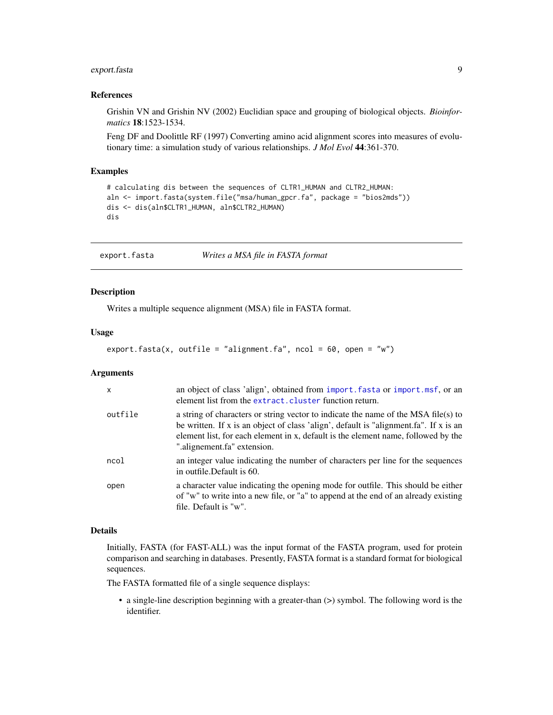# <span id="page-8-0"></span>export.fasta 9

#### References

Grishin VN and Grishin NV (2002) Euclidian space and grouping of biological objects. *Bioinformatics* 18:1523-1534.

Feng DF and Doolittle RF (1997) Converting amino acid alignment scores into measures of evolutionary time: a simulation study of various relationships. *J Mol Evol* 44:361-370.

## Examples

```
# calculating dis between the sequences of CLTR1_HUMAN and CLTR2_HUMAN:
aln <- import.fasta(system.file("msa/human_gpcr.fa", package = "bios2mds"))
dis <- dis(aln$CLTR1_HUMAN, aln$CLTR2_HUMAN)
dis
```
export.fasta *Writes a MSA file in FASTA format*

#### Description

Writes a multiple sequence alignment (MSA) file in FASTA format.

# Usage

```
export.fasta(x, outfile = "alignment.fa", ncol = 60, open = "w")
```
#### Arguments

| $\mathsf{x}$ | an object of class 'align', obtained from import. fasta or import.msf, or an<br>element list from the extract. cluster function return.                                                                                                                                                         |
|--------------|-------------------------------------------------------------------------------------------------------------------------------------------------------------------------------------------------------------------------------------------------------------------------------------------------|
| outfile      | a string of characters or string vector to indicate the name of the MSA file(s) to<br>be written. If x is an object of class 'align', default is "alignment.fa". If x is an<br>element list, for each element in x, default is the element name, followed by the<br>".alignement.fa" extension. |
| ncol         | an integer value indicating the number of characters per line for the sequences<br>in outfile. Default is 60.                                                                                                                                                                                   |
| open         | a character value indicating the opening mode for outfile. This should be either<br>of "w" to write into a new file, or "a" to append at the end of an already existing<br>file. Default is "w".                                                                                                |

# Details

Initially, FASTA (for FAST-ALL) was the input format of the FASTA program, used for protein comparison and searching in databases. Presently, FASTA format is a standard format for biological sequences.

The FASTA formatted file of a single sequence displays:

• a single-line description beginning with a greater-than (>) symbol. The following word is the identifier.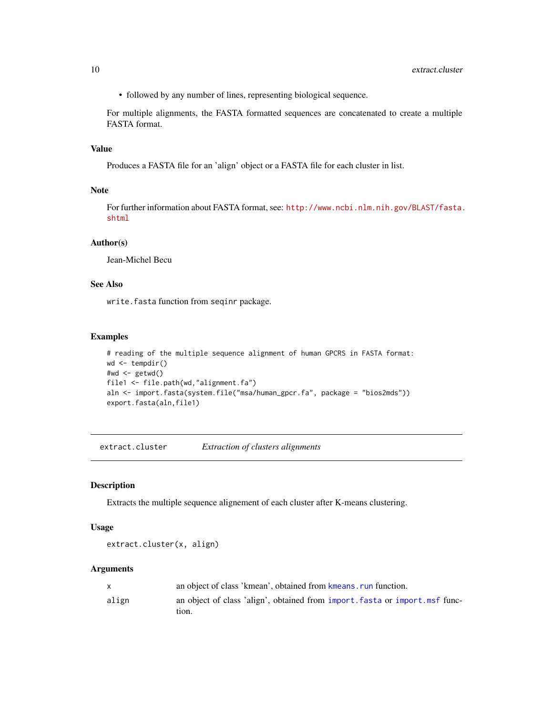<span id="page-9-0"></span>• followed by any number of lines, representing biological sequence.

For multiple alignments, the FASTA formatted sequences are concatenated to create a multiple FASTA format.

# Value

Produces a FASTA file for an 'align' object or a FASTA file for each cluster in list.

#### Note

For further information about FASTA format, see: [http://www.ncbi.nlm.nih.gov/BLAST/fasta.](http://www.ncbi.nlm.nih.gov/BLAST/fasta.shtml) [shtml](http://www.ncbi.nlm.nih.gov/BLAST/fasta.shtml)

# Author(s)

Jean-Michel Becu

# See Also

write.fasta function from seqinr package.

#### Examples

```
# reading of the multiple sequence alignment of human GPCRS in FASTA format:
wd \leftarrow tempdir()#wd <- getwd()
file1 <- file.path(wd,"alignment.fa")
aln <- import.fasta(system.file("msa/human_gpcr.fa", package = "bios2mds"))
export.fasta(aln,file1)
```
<span id="page-9-1"></span>extract.cluster *Extraction of clusters alignments*

#### Description

Extracts the multiple sequence alignement of each cluster after K-means clustering.

#### Usage

```
extract.cluster(x, align)
```

|       | an object of class 'kmean', obtained from kmeans, run function.              |
|-------|------------------------------------------------------------------------------|
| align | an object of class 'align', obtained from import, fasta or import, msf func- |
|       | tıon.                                                                        |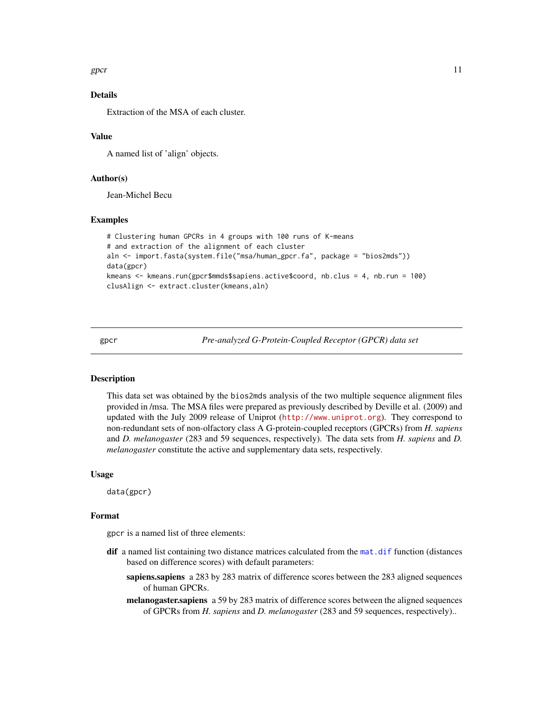<span id="page-10-0"></span>gpcr  $\Box$ 

# Details

Extraction of the MSA of each cluster.

# Value

A named list of 'align' objects.

# Author(s)

Jean-Michel Becu

#### Examples

```
# Clustering human GPCRs in 4 groups with 100 runs of K-means
# and extraction of the alignment of each cluster
aln <- import.fasta(system.file("msa/human_gpcr.fa", package = "bios2mds"))
data(gpcr)
kmeans <- kmeans.run(gpcr$mmds$sapiens.active$coord, nb.clus = 4, nb.run = 100)
clusAlign <- extract.cluster(kmeans,aln)
```
gpcr *Pre-analyzed G-Protein-Coupled Receptor (GPCR) data set*

# Description

This data set was obtained by the bios2mds analysis of the two multiple sequence alignment files provided in /msa. The MSA files were prepared as previously described by Deville et al. (2009) and updated with the July 2009 release of Uniprot (<http://www.uniprot.org>). They correspond to non-redundant sets of non-olfactory class A G-protein-coupled receptors (GPCRs) from *H. sapiens* and *D. melanogaster* (283 and 59 sequences, respectively). The data sets from *H. sapiens* and *D. melanogaster* constitute the active and supplementary data sets, respectively.

#### Usage

data(gpcr)

# Format

gpcr is a named list of three elements:

- dif a named list containing two distance matrices calculated from the [mat.dif](#page-16-1) function (distances based on difference scores) with default parameters:
	- sapiens.sapiens a 283 by 283 matrix of difference scores between the 283 aligned sequences of human GPCRs.
	- melanogaster.sapiens a 59 by 283 matrix of difference scores between the aligned sequences of GPCRs from *H. sapiens* and *D. melanogaster* (283 and 59 sequences, respectively)..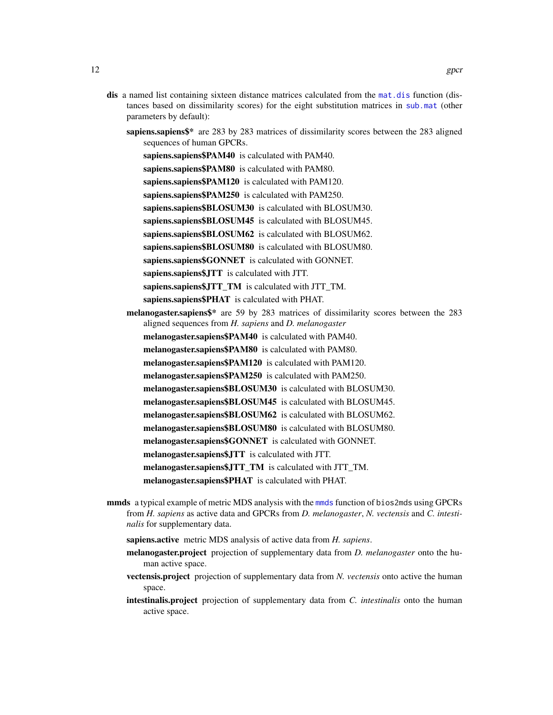- <span id="page-11-0"></span>dis a named list containing sixteen distance matrices calculated from the [mat.dis](#page-17-1) function (distances based on dissimilarity scores) for the eight substitution matrices in [sub.mat](#page-38-1) (other parameters by default):
	- sapiens.sapiens\$\* are 283 by 283 matrices of dissimilarity scores between the 283 aligned sequences of human GPCRs.
		- sapiens.sapiens\$PAM40 is calculated with PAM40.
		- sapiens.sapiens\$PAM80 is calculated with PAM80.
		- sapiens.sapiens\$PAM120 is calculated with PAM120.
		- sapiens.sapiens\$PAM250 is calculated with PAM250.
		- sapiens.sapiens\$BLOSUM30 is calculated with BLOSUM30.
		- sapiens.sapiens\$BLOSUM45 is calculated with BLOSUM45.
		- sapiens.sapiens\$BLOSUM62 is calculated with BLOSUM62.
		- sapiens.sapiens\$BLOSUM80 is calculated with BLOSUM80.
		- sapiens.sapiens\$GONNET is calculated with GONNET.
		- sapiens.sapiens\$JTT is calculated with JTT.
		- sapiens.sapiens\$JTT\_TM is calculated with JTT\_TM.
		- sapiens.sapiens\$PHAT is calculated with PHAT.
	- melanogaster.sapiens\$\* are 59 by 283 matrices of dissimilarity scores between the 283 aligned sequences from *H. sapiens* and *D. melanogaster*
		- melanogaster.sapiens\$PAM40 is calculated with PAM40.
		- melanogaster.sapiens\$PAM80 is calculated with PAM80.
		- melanogaster.sapiens\$PAM120 is calculated with PAM120.
		- melanogaster.sapiens\$PAM250 is calculated with PAM250.
		- melanogaster.sapiens\$BLOSUM30 is calculated with BLOSUM30.
		- melanogaster.sapiens\$BLOSUM45 is calculated with BLOSUM45.
		- melanogaster.sapiens\$BLOSUM62 is calculated with BLOSUM62.
		- melanogaster.sapiens\$BLOSUM80 is calculated with BLOSUM80.
		- melanogaster.sapiens\$GONNET is calculated with GONNET.
		- melanogaster.sapiens\$JTT is calculated with JTT.
		- melanogaster.sapiens\$JTT\_TM is calculated with JTT\_TM.
		- melanogaster.sapiens\$PHAT is calculated with PHAT.
- [mmds](#page-19-1) a typical example of metric MDS analysis with the mmds function of bios2mds using GPCRs from *H. sapiens* as active data and GPCRs from *D. melanogaster*, *N. vectensis* and *C. intestinalis* for supplementary data.
	- sapiens.active metric MDS analysis of active data from *H. sapiens*.
	- melanogaster.project projection of supplementary data from *D. melanogaster* onto the human active space.
	- vectensis.project projection of supplementary data from *N. vectensis* onto active the human space.
	- intestinalis.project projection of supplementary data from *C. intestinalis* onto the human active space.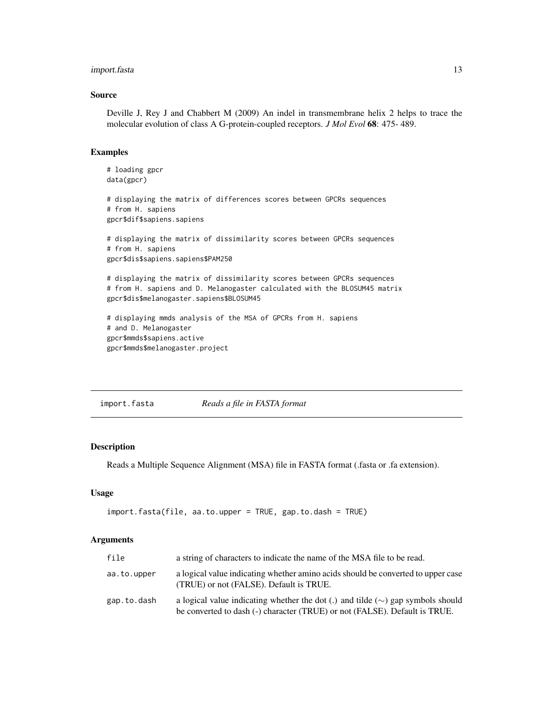# <span id="page-12-0"></span>import.fasta 13

#### Source

Deville J, Rey J and Chabbert M (2009) An indel in transmembrane helix 2 helps to trace the molecular evolution of class A G-protein-coupled receptors. *J Mol Evol* 68: 475- 489.

#### Examples

```
# loading gpcr
data(gpcr)
# displaying the matrix of differences scores between GPCRs sequences
# from H. sapiens
gpcr$dif$sapiens.sapiens
# displaying the matrix of dissimilarity scores between GPCRs sequences
# from H. sapiens
gpcr$dis$sapiens.sapiens$PAM250
# displaying the matrix of dissimilarity scores between GPCRs sequences
# from H. sapiens and D. Melanogaster calculated with the BLOSUM45 matrix
gpcr$dis$melanogaster.sapiens$BLOSUM45
# displaying mmds analysis of the MSA of GPCRs from H. sapiens
# and D. Melanogaster
gpcr$mmds$sapiens.active
gpcr$mmds$melanogaster.project
```
<span id="page-12-1"></span>import.fasta *Reads a file in FASTA format*

# Description

Reads a Multiple Sequence Alignment (MSA) file in FASTA format (.fasta or .fa extension).

#### Usage

```
import.fasta(file, aa.to.upper = TRUE, gap.to.dash = TRUE)
```

| file        | a string of characters to indicate the name of the MSA file to be read.                                                                                              |
|-------------|----------------------------------------------------------------------------------------------------------------------------------------------------------------------|
| aa.to.upper | a logical value indicating whether amino acids should be converted to upper case<br>(TRUE) or not (FALSE). Default is TRUE.                                          |
| gap.to.dash | a logical value indicating whether the dot (.) and tilde ( $\sim$ ) gap symbols should<br>be converted to dash (-) character (TRUE) or not (FALSE). Default is TRUE. |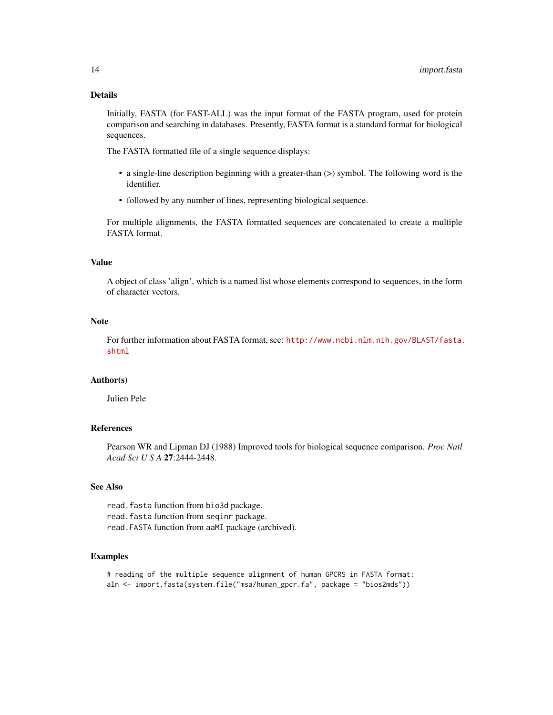# Details

Initially, FASTA (for FAST-ALL) was the input format of the FASTA program, used for protein comparison and searching in databases. Presently, FASTA format is a standard format for biological sequences.

The FASTA formatted file of a single sequence displays:

- a single-line description beginning with a greater-than (>) symbol. The following word is the identifier.
- followed by any number of lines, representing biological sequence.

For multiple alignments, the FASTA formatted sequences are concatenated to create a multiple FASTA format.

# Value

A object of class 'align', which is a named list whose elements correspond to sequences, in the form of character vectors.

#### Note

For further information about FASTA format, see: [http://www.ncbi.nlm.nih.gov/BLAST/fasta.](http://www.ncbi.nlm.nih.gov/BLAST/fasta.shtml) [shtml](http://www.ncbi.nlm.nih.gov/BLAST/fasta.shtml)

#### Author(s)

Julien Pele

#### References

Pearson WR and Lipman DJ (1988) Improved tools for biological sequence comparison. *Proc Natl Acad Sci U S A* 27:2444-2448.

# See Also

read.fasta function from bio3d package. read. fasta function from seqinr package. read.FASTA function from aaMI package (archived).

# Examples

# reading of the multiple sequence alignment of human GPCRS in FASTA format: aln <- import.fasta(system.file("msa/human\_gpcr.fa", package = "bios2mds"))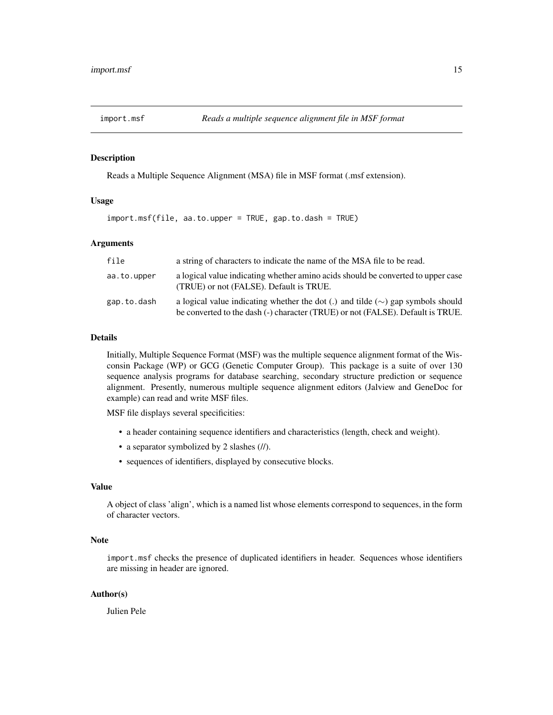<span id="page-14-1"></span><span id="page-14-0"></span>

# Description

Reads a Multiple Sequence Alignment (MSA) file in MSF format (.msf extension).

#### Usage

import.msf(file, aa.to.upper = TRUE, gap.to.dash = TRUE)

# Arguments

| file        | a string of characters to indicate the name of the MSA file to be read.                                                                                                  |
|-------------|--------------------------------------------------------------------------------------------------------------------------------------------------------------------------|
| aa.to.upper | a logical value indicating whether amino acids should be converted to upper case<br>(TRUE) or not (FALSE). Default is TRUE.                                              |
| gap.to.dash | a logical value indicating whether the dot (.) and tilde ( $\sim$ ) gap symbols should<br>be converted to the dash (-) character (TRUE) or not (FALSE). Default is TRUE. |

#### Details

Initially, Multiple Sequence Format (MSF) was the multiple sequence alignment format of the Wisconsin Package (WP) or GCG (Genetic Computer Group). This package is a suite of over 130 sequence analysis programs for database searching, secondary structure prediction or sequence alignment. Presently, numerous multiple sequence alignment editors (Jalview and GeneDoc for example) can read and write MSF files.

MSF file displays several specificities:

- a header containing sequence identifiers and characteristics (length, check and weight).
- a separator symbolized by 2 slashes (//).
- sequences of identifiers, displayed by consecutive blocks.

#### Value

A object of class 'align', which is a named list whose elements correspond to sequences, in the form of character vectors.

# Note

import.msf checks the presence of duplicated identifiers in header. Sequences whose identifiers are missing in header are ignored.

#### Author(s)

Julien Pele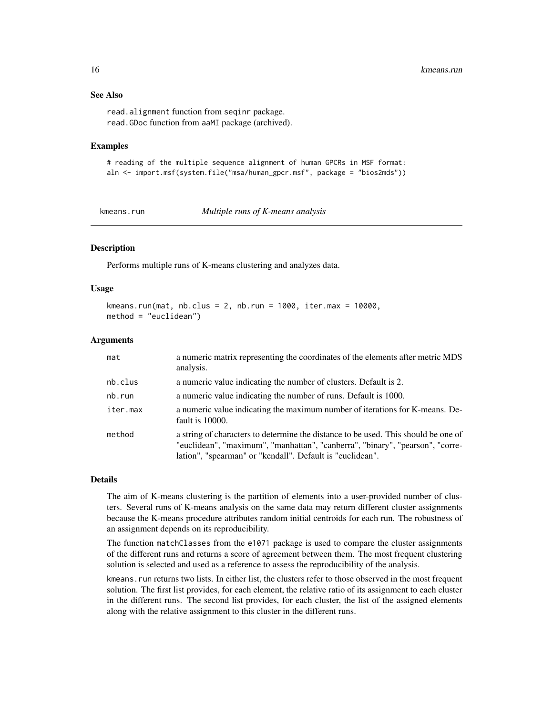# See Also

read.alignment function from seqinr package. read.GDoc function from aaMI package (archived).

#### Examples

```
# reading of the multiple sequence alignment of human GPCRs in MSF format:
aln <- import.msf(system.file("msa/human_gpcr.msf", package = "bios2mds"))
```
<span id="page-15-1"></span>

kmeans.run *Multiple runs of K-means analysis*

# Description

Performs multiple runs of K-means clustering and analyzes data.

#### Usage

```
kmeans.run(mat, nb.clus = 2, nb.run = 1000, iter.max = 10000,
method = "euclidean")
```
#### Arguments

| mat      | a numeric matrix representing the coordinates of the elements after metric MDS<br>analysis.                                                                                                                                      |
|----------|----------------------------------------------------------------------------------------------------------------------------------------------------------------------------------------------------------------------------------|
| nb.clus  | a numeric value indicating the number of clusters. Default is 2.                                                                                                                                                                 |
| nb.run   | a numeric value indicating the number of runs. Default is 1000.                                                                                                                                                                  |
| iter.max | a numeric value indicating the maximum number of iterations for K-means. De-<br>fault is 10000.                                                                                                                                  |
| method   | a string of characters to determine the distance to be used. This should be one of<br>"euclidean", "maximum", "manhattan", "canberra", "binary", "pearson", "corre-<br>lation", "spearman" or "kendall". Default is "euclidean". |

#### Details

The aim of K-means clustering is the partition of elements into a user-provided number of clusters. Several runs of K-means analysis on the same data may return different cluster assignments because the K-means procedure attributes random initial centroids for each run. The robustness of an assignment depends on its reproducibility.

The function matchClasses from the e1071 package is used to compare the cluster assignments of the different runs and returns a score of agreement between them. The most frequent clustering solution is selected and used as a reference to assess the reproducibility of the analysis.

kmeans.run returns two lists. In either list, the clusters refer to those observed in the most frequent solution. The first list provides, for each element, the relative ratio of its assignment to each cluster in the different runs. The second list provides, for each cluster, the list of the assigned elements along with the relative assignment to this cluster in the different runs.

<span id="page-15-0"></span>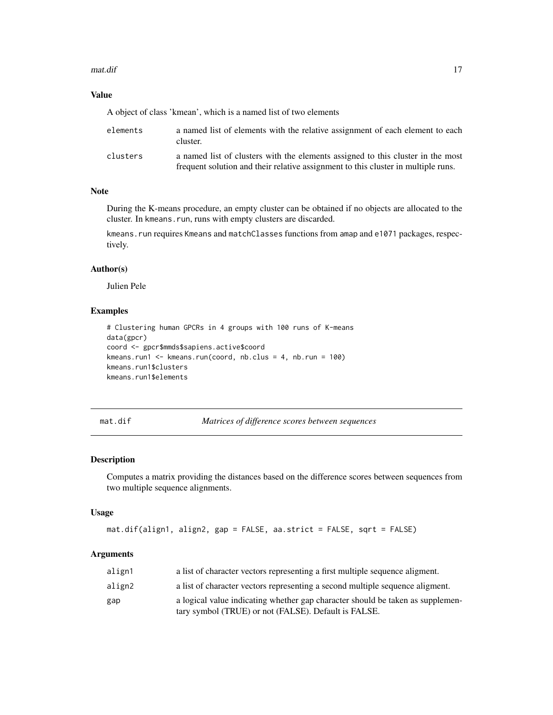#### <span id="page-16-0"></span>mat.dif and the contract of the contract of the contract of the contract of the contract of the contract of the contract of the contract of the contract of the contract of the contract of the contract of the contract of th

# Value

A object of class 'kmean', which is a named list of two elements

| elements | a named list of elements with the relative assignment of each element to each<br>cluster.                                                                            |
|----------|----------------------------------------------------------------------------------------------------------------------------------------------------------------------|
| clusters | a named list of clusters with the elements assigned to this cluster in the most<br>frequent solution and their relative assignment to this cluster in multiple runs. |

# Note

During the K-means procedure, an empty cluster can be obtained if no objects are allocated to the cluster. In kmeans.run, runs with empty clusters are discarded.

kmeans.run requires Kmeans and matchClasses functions from amap and e1071 packages, respectively.

#### Author(s)

Julien Pele

# Examples

```
# Clustering human GPCRs in 4 groups with 100 runs of K-means
data(gpcr)
coord <- gpcr$mmds$sapiens.active$coord
kmeans.run1 <- kmeans.run(coord, nb.clus = 4, nb.run = 100)
kmeans.run1$clusters
kmeans.run1$elements
```
<span id="page-16-1"></span>mat.dif *Matrices of difference scores between sequences*

#### Description

Computes a matrix providing the distances based on the difference scores between sequences from two multiple sequence alignments.

#### Usage

```
mat.dif(align1, align2, gap = FALSE, aa.strict = FALSE, sqrt = FALSE)
```

| align1 | a list of character vectors representing a first multiple sequence aligment.   |
|--------|--------------------------------------------------------------------------------|
| align2 | a list of character vectors representing a second multiple sequence aligment.  |
| gap    | a logical value indicating whether gap character should be taken as supplemen- |
|        | tary symbol (TRUE) or not (FALSE). Default is FALSE.                           |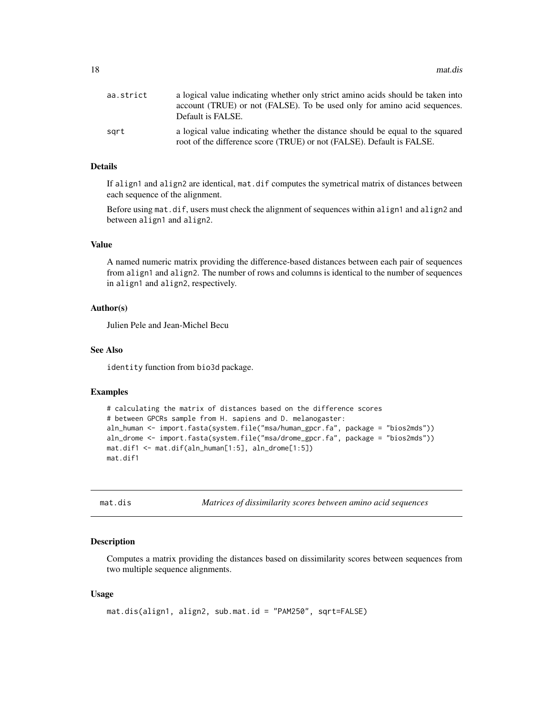<span id="page-17-0"></span>

| aa.strict | a logical value indicating whether only strict amino acids should be taken into<br>account (TRUE) or not (FALSE). To be used only for amino acid sequences.<br>Default is FALSE. |
|-----------|----------------------------------------------------------------------------------------------------------------------------------------------------------------------------------|
| sart      | a logical value indicating whether the distance should be equal to the squared<br>root of the difference score (TRUE) or not (FALSE). Default is FALSE.                          |

#### Details

If align1 and align2 are identical, mat.dif computes the symetrical matrix of distances between each sequence of the alignment.

Before using mat.dif, users must check the alignment of sequences within align1 and align2 and between align1 and align2.

#### Value

A named numeric matrix providing the difference-based distances between each pair of sequences from align1 and align2. The number of rows and columns is identical to the number of sequences in align1 and align2, respectively.

#### Author(s)

Julien Pele and Jean-Michel Becu

# See Also

identity function from bio3d package.

#### Examples

```
# calculating the matrix of distances based on the difference scores
# between GPCRs sample from H. sapiens and D. melanogaster:
aln_human <- import.fasta(system.file("msa/human_gpcr.fa", package = "bios2mds"))
aln_drome <- import.fasta(system.file("msa/drome_gpcr.fa", package = "bios2mds"))
mat.dif1 <- mat.dif(aln_human[1:5], aln_drome[1:5])
mat.dif1
```
<span id="page-17-1"></span>mat.dis *Matrices of dissimilarity scores between amino acid sequences*

# Description

Computes a matrix providing the distances based on dissimilarity scores between sequences from two multiple sequence alignments.

#### Usage

```
mat.dis(align1, align2, sub.mat.id = "PAM250", sqrt=FALSE)
```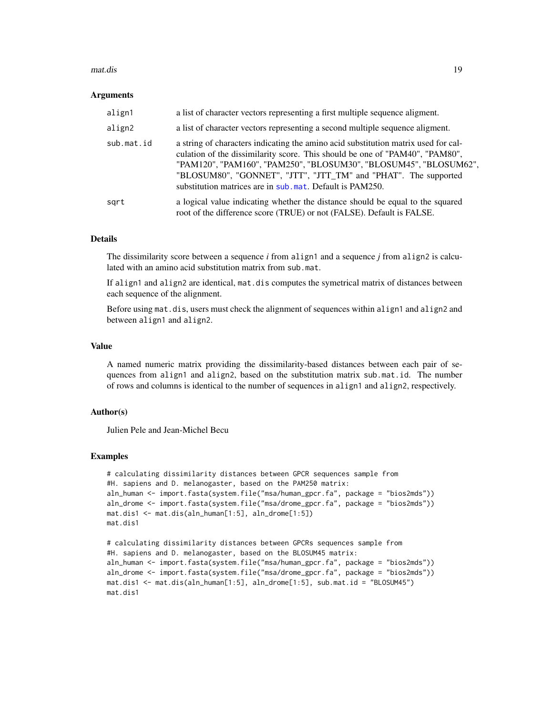#### <span id="page-18-0"></span>mat.dis 19

#### Arguments

| align1     | a list of character vectors representing a first multiple sequence aligment.                                                                                                                                                                                                                                                                                           |
|------------|------------------------------------------------------------------------------------------------------------------------------------------------------------------------------------------------------------------------------------------------------------------------------------------------------------------------------------------------------------------------|
| align2     | a list of character vectors representing a second multiple sequence aligment.                                                                                                                                                                                                                                                                                          |
| sub.mat.id | a string of characters indicating the amino acid substitution matrix used for cal-<br>culation of the dissimilarity score. This should be one of "PAM40", "PAM80",<br>"PAM120", "PAM160", "PAM250", "BLOSUM30", "BLOSUM45", "BLOSUM62",<br>"BLOSUM80", "GONNET", "JTT", "JTT_TM" and "PHAT". The supported<br>substitution matrices are in sub.mat. Default is PAM250. |
| sgrt       | a logical value indicating whether the distance should be equal to the squared<br>root of the difference score (TRUE) or not (FALSE). Default is FALSE.                                                                                                                                                                                                                |

# Details

The dissimilarity score between a sequence *i* from align1 and a sequence *j* from align2 is calculated with an amino acid substitution matrix from sub.mat.

If align1 and align2 are identical, mat.dis computes the symetrical matrix of distances between each sequence of the alignment.

Before using mat.dis, users must check the alignment of sequences within align1 and align2 and between align1 and align2.

#### Value

A named numeric matrix providing the dissimilarity-based distances between each pair of sequences from align1 and align2, based on the substitution matrix sub.mat.id. The number of rows and columns is identical to the number of sequences in align1 and align2, respectively.

# Author(s)

Julien Pele and Jean-Michel Becu

#### Examples

```
# calculating dissimilarity distances between GPCR sequences sample from
#H. sapiens and D. melanogaster, based on the PAM250 matrix:
aln_human <- import.fasta(system.file("msa/human_gpcr.fa", package = "bios2mds"))
aln_drome <- import.fasta(system.file("msa/drome_gpcr.fa", package = "bios2mds"))
mat.dis1 <- mat.dis(aln_human[1:5], aln_drome[1:5])
mat.dis1
```

```
# calculating dissimilarity distances between GPCRs sequences sample from
#H. sapiens and D. melanogaster, based on the BLOSUM45 matrix:
aln_human <- import.fasta(system.file("msa/human_gpcr.fa", package = "bios2mds"))
aln_drome <- import.fasta(system.file("msa/drome_gpcr.fa", package = "bios2mds"))
mat.dis1 <- mat.dis(aln_human[1:5], aln_drome[1:5], sub.mat.id = "BLOSUM45")
mat.dis1
```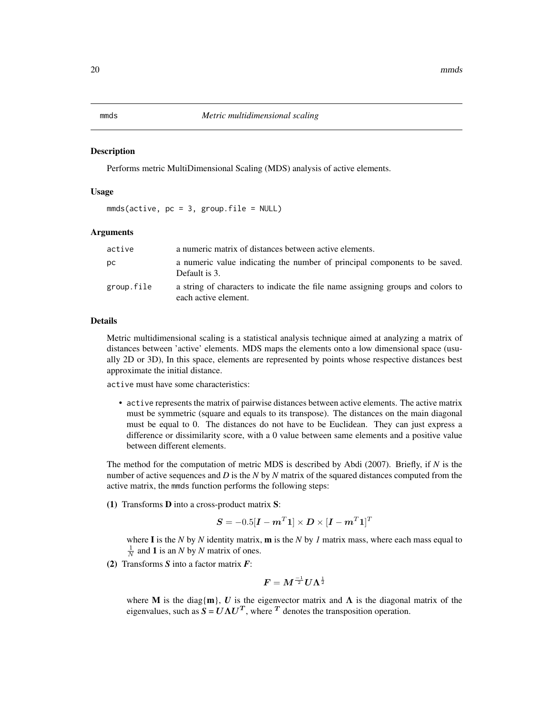#### <span id="page-19-1"></span><span id="page-19-0"></span>Description

Performs metric MultiDimensional Scaling (MDS) analysis of active elements.

#### Usage

 $mmds(active, pc = 3, group.file = NULL)$ 

#### Arguments

| active     | a numeric matrix of distances between active elements.                                                  |
|------------|---------------------------------------------------------------------------------------------------------|
| DС         | a numeric value indicating the number of principal components to be saved.<br>Default is 3.             |
| group.file | a string of characters to indicate the file name assigning groups and colors to<br>each active element. |

#### Details

Metric multidimensional scaling is a statistical analysis technique aimed at analyzing a matrix of distances between 'active' elements. MDS maps the elements onto a low dimensional space (usually 2D or 3D), In this space, elements are represented by points whose respective distances best approximate the initial distance.

active must have some characteristics:

• active represents the matrix of pairwise distances between active elements. The active matrix must be symmetric (square and equals to its transpose). The distances on the main diagonal must be equal to 0. The distances do not have to be Euclidean. They can just express a difference or dissimilarity score, with a 0 value between same elements and a positive value between different elements.

The method for the computation of metric MDS is described by Abdi (2007). Briefly, if *N* is the number of active sequences and *D* is the *N* by *N* matrix of the squared distances computed from the active matrix, the mmds function performs the following steps:

(1) Transforms D into a cross-product matrix S:

$$
\boldsymbol{S} = -0.5[\boldsymbol{I} - \boldsymbol{m}^T \boldsymbol{1}] \times \boldsymbol{D} \times [\boldsymbol{I} - \boldsymbol{m}^T \boldsymbol{1}]^T
$$

where I is the *N* by *N* identity matrix, m is the *N* by *1* matrix mass, where each mass equal to  $\frac{1}{N}$  and **1** is an *N* by *N* matrix of ones.

(2) Transforms *S* into a factor matrix *F*:

$$
\boldsymbol{F} = \boldsymbol{M}^{\frac{-1}{2}} \boldsymbol{U}\boldsymbol{\Lambda}^{\frac{1}{2}}
$$

where M is the diag{m}, U is the eigenvector matrix and  $\Lambda$  is the diagonal matrix of the eigenvalues, such as  $S = U\Lambda U^T$ , where <sup>T</sup> denotes the transposition operation.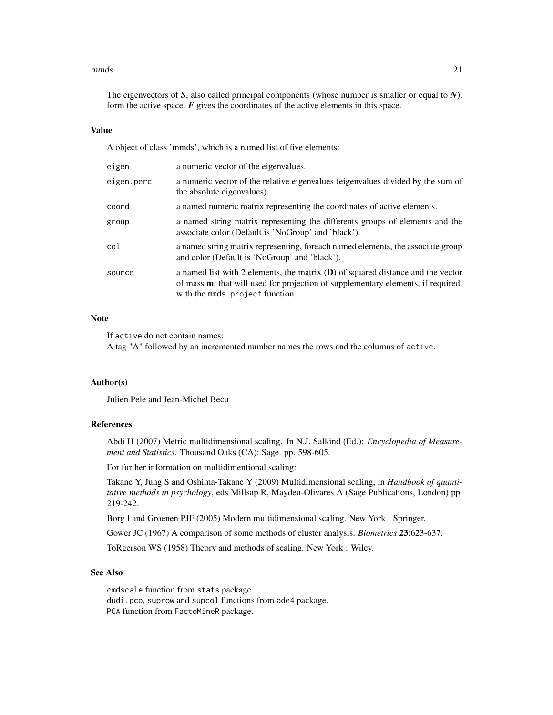#### $nmds$  21

The eigenvectors of *S*, also called principal components (whose number is smaller or equal to *N*), form the active space.  $F$  gives the coordinates of the active elements in this space.

#### Value

A object of class 'mmds', which is a named list of five elements:

| eigen      | a numeric vector of the eigenvalues.                                                                                                                                                                             |
|------------|------------------------------------------------------------------------------------------------------------------------------------------------------------------------------------------------------------------|
| eigen.perc | a numeric vector of the relative eigenvalues (eigenvalues divided by the sum of<br>the absolute eigenvalues).                                                                                                    |
| coord      | a named numeric matrix representing the coordinates of active elements.                                                                                                                                          |
| group      | a named string matrix representing the differents groups of elements and the<br>associate color (Default is 'NoGroup' and 'black').                                                                              |
| col        | a named string matrix representing, for each named elements, the associate group<br>and color (Default is 'NoGroup' and 'black').                                                                                |
| source     | a named list with 2 elements, the matrix $(D)$ of squared distance and the vector<br>of mass <b>m</b> , that will used for projection of supplementary elements, if required,<br>with the mmds.project function. |

#### Note

If active do not contain names:

A tag "A" followed by an incremented number names the rows and the columns of active.

# Author(s)

Julien Pele and Jean-Michel Becu

#### References

Abdi H (2007) Metric multidimensional scaling. In N.J. Salkind (Ed.): *Encyclopedia of Measurement and Statistics.* Thousand Oaks (CA): Sage. pp. 598-605.

For further information on multidimentional scaling:

Takane Y, Jung S and Oshima-Takane Y (2009) Multidimensional scaling, in *Handbook of quantitative methods in psychology*, eds Millsap R, Maydeu-Olivares A (Sage Publications, London) pp. 219-242.

Borg I and Groenen PJF (2005) Modern multidimensional scaling. New York : Springer.

Gower JC (1967) A comparison of some methods of cluster analysis. *Biometrics* 23:623-637.

ToRgerson WS (1958) Theory and methods of scaling. New York : Wiley.

# See Also

cmdscale function from stats package. dudi.pco, suprow and supcol functions from ade4 package. PCA function from FactoMineR package.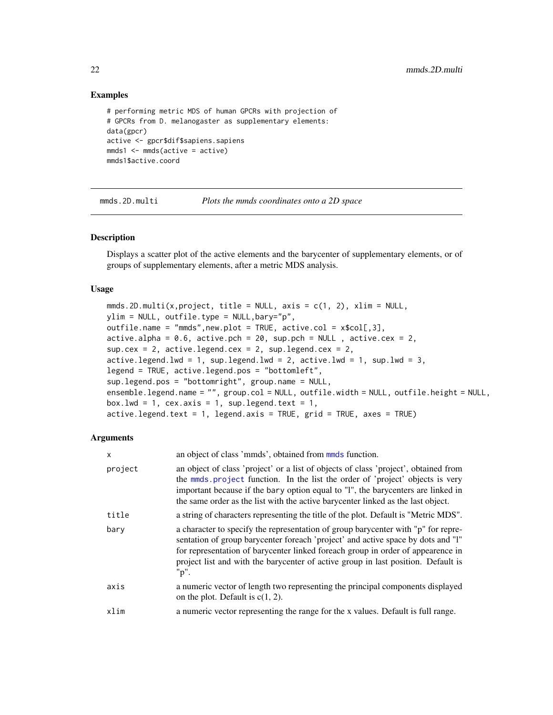# Examples

```
# performing metric MDS of human GPCRs with projection of
# GPCRs from D. melanogaster as supplementary elements:
data(gpcr)
active <- gpcr$dif$sapiens.sapiens
mmds1 \leq mmds(active = active)
mmds1$active.coord
```
<span id="page-21-1"></span>mmds.2D.multi *Plots the mmds coordinates onto a 2D space*

# **Description**

Displays a scatter plot of the active elements and the barycenter of supplementary elements, or of groups of supplementary elements, after a metric MDS analysis.

#### Usage

```
mmds.2D.multi(x, project, title = NULL, axis = c(1, 2), xlim = NULL,
ylim = NULL, outfile.type = NULL,bary="p",
outfile.name = "mmds",new.plot = TRUE, active.col = x$col[,3],
active.alpha = 0.6, active.pch = 20, sup.pch = NULL, active.cex = 2,
sup.cex = 2, active.legend.cex = 2, sup.legend.cex = 2,
active.length.lwd = 1, sup.legend.lwd = 2, active.lwd = 1, sup.lwd = 3,
legend = TRUE, active.legend.pos = "bottomleft",
sup.legend.pos = "bottomright", group.name = NULL,
ensemble.legend.name = "", group.col = NULL, outfile.width = NULL, outfile.height = NULL,
box.lwd = 1, cex.axis = 1, sup.legend.text = 1,
active.legend.text = 1, legend.axis = TRUE, grid = TRUE, axes = TRUE)
```

| x       | an object of class 'mmds', obtained from mmds function.                                                                                                                                                                                                                                                                                                |
|---------|--------------------------------------------------------------------------------------------------------------------------------------------------------------------------------------------------------------------------------------------------------------------------------------------------------------------------------------------------------|
| project | an object of class 'project' or a list of objects of class 'project', obtained from<br>the mmds project function. In the list the order of 'project' objects is very<br>important because if the bary option equal to "1", the barycenters are linked in<br>the same order as the list with the active barycenter linked as the last object.           |
| title   | a string of characters representing the title of the plot. Default is "Metric MDS".                                                                                                                                                                                                                                                                    |
| bary    | a character to specify the representation of group barycenter with "p" for repre-<br>sentation of group barycenter foreach 'project' and active space by dots and "I"<br>for representation of barycenter linked for each group in order of appearance in<br>project list and with the barycenter of active group in last position. Default is<br>"p". |
| axis    | a numeric vector of length two representing the principal components displayed<br>on the plot. Default is $c(1, 2)$ .                                                                                                                                                                                                                                  |
| xlim    | a numeric vector representing the range for the x values. Default is full range.                                                                                                                                                                                                                                                                       |

<span id="page-21-0"></span>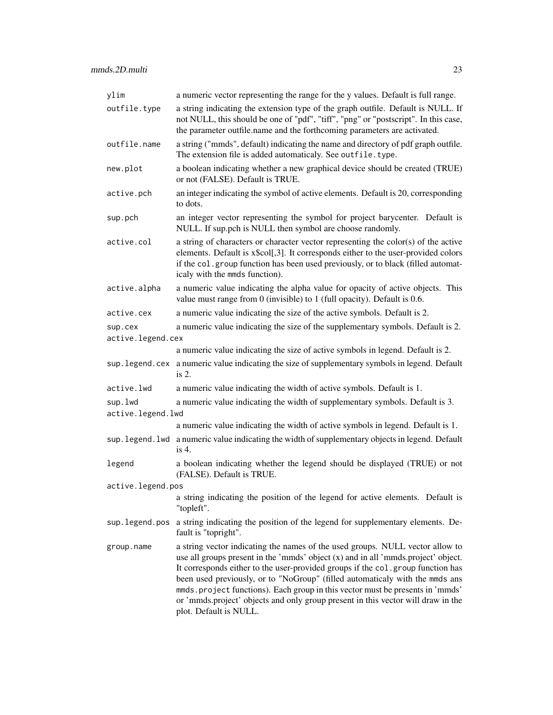| ylim                         | a numeric vector representing the range for the y values. Default is full range.                                                                                                                                                                                                                                                                                                                                                                                                                                                     |
|------------------------------|--------------------------------------------------------------------------------------------------------------------------------------------------------------------------------------------------------------------------------------------------------------------------------------------------------------------------------------------------------------------------------------------------------------------------------------------------------------------------------------------------------------------------------------|
| outfile.type                 | a string indicating the extension type of the graph outfile. Default is NULL. If<br>not NULL, this should be one of "pdf", "tiff", "png" or "postscript". In this case,<br>the parameter outfile.name and the forthcoming parameters are activated.                                                                                                                                                                                                                                                                                  |
| outfile.name                 | a string ("mmds", default) indicating the name and directory of pdf graph outfile.<br>The extension file is added automaticaly. See outfile. type.                                                                                                                                                                                                                                                                                                                                                                                   |
| new.plot                     | a boolean indicating whether a new graphical device should be created (TRUE)<br>or not (FALSE). Default is TRUE.                                                                                                                                                                                                                                                                                                                                                                                                                     |
| active.pch                   | an integer indicating the symbol of active elements. Default is 20, corresponding<br>to dots.                                                                                                                                                                                                                                                                                                                                                                                                                                        |
| sup.pch                      | an integer vector representing the symbol for project barycenter. Default is<br>NULL. If sup.pch is NULL then symbol are choose randomly.                                                                                                                                                                                                                                                                                                                                                                                            |
| active.col                   | a string of characters or character vector representing the color(s) of the active<br>elements. Default is x\$col[,3]. It corresponds either to the user-provided colors<br>if the col.group function has been used previously, or to black (filled automat-<br>icaly with the mmds function).                                                                                                                                                                                                                                       |
| active.alpha                 | a numeric value indicating the alpha value for opacity of active objects. This<br>value must range from $0$ (invisible) to $1$ (full opacity). Default is 0.6.                                                                                                                                                                                                                                                                                                                                                                       |
| active.cex                   | a numeric value indicating the size of the active symbols. Default is 2.                                                                                                                                                                                                                                                                                                                                                                                                                                                             |
| sup.cex                      | a numeric value indicating the size of the supplementary symbols. Default is 2.                                                                                                                                                                                                                                                                                                                                                                                                                                                      |
| active.legend.cex            |                                                                                                                                                                                                                                                                                                                                                                                                                                                                                                                                      |
|                              | a numeric value indicating the size of active symbols in legend. Default is 2.                                                                                                                                                                                                                                                                                                                                                                                                                                                       |
|                              | sup. legend. cex a numeric value indicating the size of supplementary symbols in legend. Default<br>is 2.                                                                                                                                                                                                                                                                                                                                                                                                                            |
| active.lwd                   | a numeric value indicating the width of active symbols. Default is 1.                                                                                                                                                                                                                                                                                                                                                                                                                                                                |
| sup.lwd<br>active.legend.lwd | a numeric value indicating the width of supplementary symbols. Default is 3.                                                                                                                                                                                                                                                                                                                                                                                                                                                         |
|                              | a numeric value indicating the width of active symbols in legend. Default is 1.                                                                                                                                                                                                                                                                                                                                                                                                                                                      |
|                              | sup. legend. lwd a numeric value indicating the width of supplementary objects in legend. Default<br>is $4$ .                                                                                                                                                                                                                                                                                                                                                                                                                        |
| legend                       | a boolean indicating whether the legend should be displayed (TRUE) or not<br>(FALSE). Default is TRUE.                                                                                                                                                                                                                                                                                                                                                                                                                               |
| active.legend.pos            |                                                                                                                                                                                                                                                                                                                                                                                                                                                                                                                                      |
|                              | a string indicating the position of the legend for active elements. Default is<br>"topleft".                                                                                                                                                                                                                                                                                                                                                                                                                                         |
| sup.legend.pos               | a string indicating the position of the legend for supplementary elements. De-<br>fault is "topright".                                                                                                                                                                                                                                                                                                                                                                                                                               |
| group.name                   | a string vector indicating the names of the used groups. NULL vector allow to<br>use all groups present in the 'mmds' object (x) and in all 'mmds.project' object.<br>It corresponds either to the user-provided groups if the col.group function has<br>been used previously, or to "NoGroup" (filled automaticaly with the mmds ans<br>mmds.project functions). Each group in this vector must be presents in 'mmds'<br>or 'mmds.project' objects and only group present in this vector will draw in the<br>plot. Default is NULL. |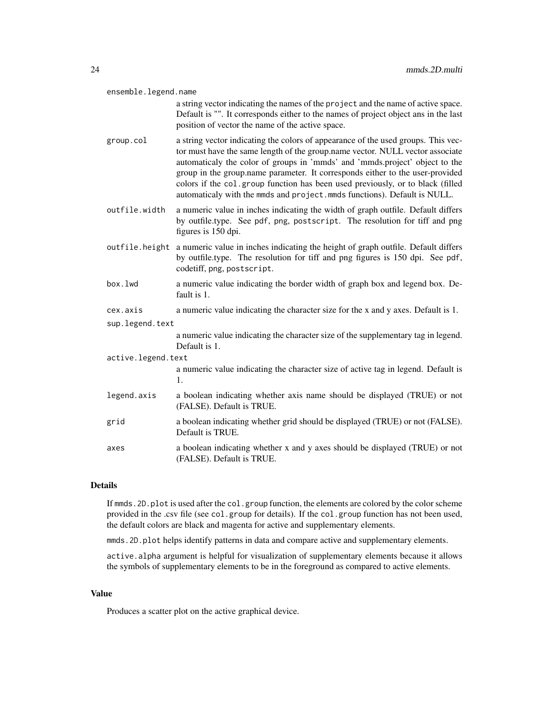| ensemble.legend.name |                                                                                                                                                                                                                                                                                                                                                                                                                                                                                                  |  |
|----------------------|--------------------------------------------------------------------------------------------------------------------------------------------------------------------------------------------------------------------------------------------------------------------------------------------------------------------------------------------------------------------------------------------------------------------------------------------------------------------------------------------------|--|
|                      | a string vector indicating the names of the project and the name of active space.<br>Default is "". It corresponds either to the names of project object ans in the last<br>position of vector the name of the active space.                                                                                                                                                                                                                                                                     |  |
| group.col            | a string vector indicating the colors of appearance of the used groups. This vec-<br>tor must have the same length of the group.name vector. NULL vector associate<br>automaticaly the color of groups in 'mmds' and 'mmds.project' object to the<br>group in the group.name parameter. It corresponds either to the user-provided<br>colors if the col.group function has been used previously, or to black (filled<br>automaticaly with the mmds and project.mmds functions). Default is NULL. |  |
| outfile.width        | a numeric value in inches indicating the width of graph outfile. Default differs<br>by outfile.type. See pdf, png, postscript. The resolution for tiff and png<br>figures is 150 dpi.                                                                                                                                                                                                                                                                                                            |  |
| outfile.height       | a numeric value in inches indicating the height of graph outfile. Default differs<br>by outfile.type. The resolution for tiff and png figures is 150 dpi. See pdf,<br>codetiff, png, postscript.                                                                                                                                                                                                                                                                                                 |  |
| box.lwd              | a numeric value indicating the border width of graph box and legend box. De-<br>fault is 1.                                                                                                                                                                                                                                                                                                                                                                                                      |  |
| cex.axis             | a numeric value indicating the character size for the x and y axes. Default is 1.                                                                                                                                                                                                                                                                                                                                                                                                                |  |
| sup.legend.text      |                                                                                                                                                                                                                                                                                                                                                                                                                                                                                                  |  |
|                      | a numeric value indicating the character size of the supplementary tag in legend.<br>Default is 1.                                                                                                                                                                                                                                                                                                                                                                                               |  |
| active.legend.text   |                                                                                                                                                                                                                                                                                                                                                                                                                                                                                                  |  |
|                      | a numeric value indicating the character size of active tag in legend. Default is<br>1.                                                                                                                                                                                                                                                                                                                                                                                                          |  |
| legend.axis          | a boolean indicating whether axis name should be displayed (TRUE) or not<br>(FALSE). Default is TRUE.                                                                                                                                                                                                                                                                                                                                                                                            |  |
| grid                 | a boolean indicating whether grid should be displayed (TRUE) or not (FALSE).<br>Default is TRUE.                                                                                                                                                                                                                                                                                                                                                                                                 |  |
| axes                 | a boolean indicating whether x and y axes should be displayed (TRUE) or not<br>(FALSE). Default is TRUE.                                                                                                                                                                                                                                                                                                                                                                                         |  |

# Details

If mmds. 2D. plot is used after the col.group function, the elements are colored by the color scheme provided in the .csv file (see col.group for details). If the col.group function has not been used, the default colors are black and magenta for active and supplementary elements.

mmds. 2D. plot helps identify patterns in data and compare active and supplementary elements.

active.alpha argument is helpful for visualization of supplementary elements because it allows the symbols of supplementary elements to be in the foreground as compared to active elements.

#### Value

Produces a scatter plot on the active graphical device.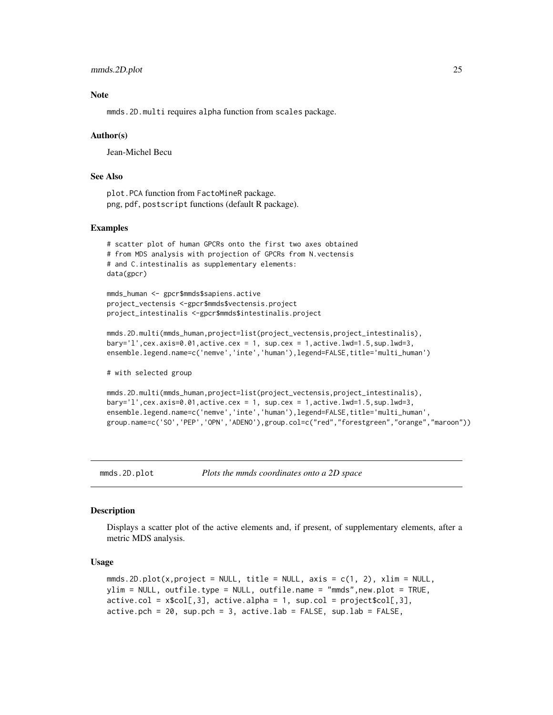<span id="page-24-0"></span>mmds.2D.plot 25

#### **Note**

mmds.2D.multi requires alpha function from scales package.

#### Author(s)

Jean-Michel Becu

# See Also

plot.PCA function from FactoMineR package. png, pdf, postscript functions (default R package).

#### Examples

```
# scatter plot of human GPCRs onto the first two axes obtained
# from MDS analysis with projection of GPCRs from N.vectensis
# and C.intestinalis as supplementary elements:
data(gpcr)
```
mmds\_human <- gpcr\$mmds\$sapiens.active project\_vectensis <-gpcr\$mmds\$vectensis.project project\_intestinalis <-gpcr\$mmds\$intestinalis.project

```
mmds.2D.multi(mmds_human,project=list(project_vectensis,project_intestinalis),
bary='l',cex.axis=0.01,active.cex = 1, sup.cex = 1,active.lwd=1.5,sup.lwd=3,
ensemble.legend.name=c('nemve','inte','human'),legend=FALSE,title='multi_human')
```
# with selected group

```
mmds.2D.multi(mmds_human,project=list(project_vectensis,project_intestinalis),
bary='l',cex.axis=0.01,active.cex = 1, sup.cex = 1,active.lwd=1.5,sup.lwd=3,
ensemble.legend.name=c('nemve','inte','human'),legend=FALSE,title='multi_human',
group.name=c('SO','PEP','OPN','ADENO'),group.col=c("red","forestgreen","orange","maroon"))
```
<span id="page-24-1"></span>

```
mmds.2D.plot Plots the mmds coordinates onto a 2D space
```
#### **Description**

Displays a scatter plot of the active elements and, if present, of supplementary elements, after a metric MDS analysis.

#### Usage

```
mmds.2D.plot(x,project = NULL, title = NULL, axis = c(1, 2), xlim = NULL,
ylim = NULL, outfile.type = NULL, outfile.name = "mmds",new.plot = TRUE,
active.col = x$col[,3], active.alpha = 1, sup.col = project$col[,3],
active.pch = 20, sup.pch = 3, active.lab = FALSE, sup.lab = FALSE,
```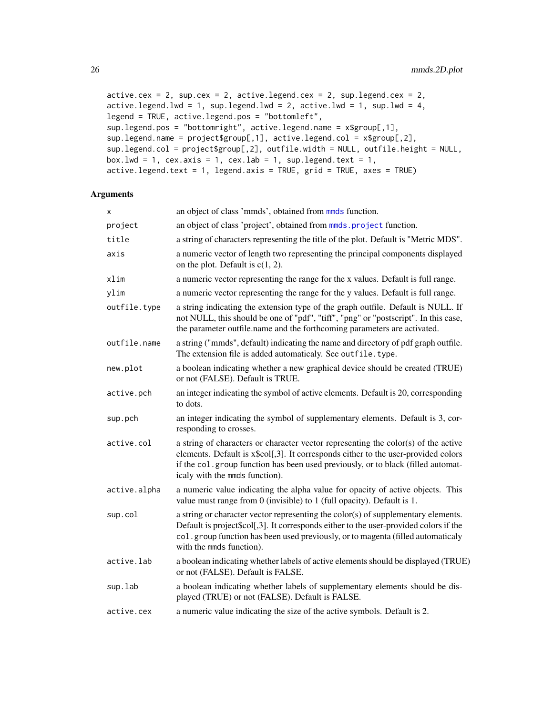```
active.cex = 2, sup.cex = 2, active.legend.cex = 2, sup.legend.cex = 2,
active.length.lwd = 1, sup.legend.lwd = 2, activeu = 1, sup.lwd = 4,
legend = TRUE, active.legend.pos = "bottomleft",
sup.legend.pos = "bottomright", active.legend.name = x$group[,1],
sup.legend.name = project$group[,1], active.legend.col = x$group[,2],
sup.legend.col = project$group[,2], outfile.width = NULL, outfile.height = NULL,
box.lwd = 1, cex.axis = 1, cex.lab = 1, sup.legend.text = 1,
active.legend.text = 1, legend.axis = TRUE, grid = TRUE, axes = TRUE)
```

| Χ            | an object of class 'mmds', obtained from mmds function.                                                                                                                                                                                                                                        |
|--------------|------------------------------------------------------------------------------------------------------------------------------------------------------------------------------------------------------------------------------------------------------------------------------------------------|
| project      | an object of class 'project', obtained from mmds. project function.                                                                                                                                                                                                                            |
| title        | a string of characters representing the title of the plot. Default is "Metric MDS".                                                                                                                                                                                                            |
| axis         | a numeric vector of length two representing the principal components displayed<br>on the plot. Default is $c(1, 2)$ .                                                                                                                                                                          |
| xlim         | a numeric vector representing the range for the x values. Default is full range.                                                                                                                                                                                                               |
| ylim         | a numeric vector representing the range for the y values. Default is full range.                                                                                                                                                                                                               |
| outfile.type | a string indicating the extension type of the graph outfile. Default is NULL. If<br>not NULL, this should be one of "pdf", "tiff", "png" or "postscript". In this case,<br>the parameter outfile.name and the forthcoming parameters are activated.                                            |
| outfile.name | a string ("mmds", default) indicating the name and directory of pdf graph outfile.<br>The extension file is added automaticaly. See outfile. type.                                                                                                                                             |
| new.plot     | a boolean indicating whether a new graphical device should be created (TRUE)<br>or not (FALSE). Default is TRUE.                                                                                                                                                                               |
| active.pch   | an integer indicating the symbol of active elements. Default is 20, corresponding<br>to dots.                                                                                                                                                                                                  |
| sup.pch      | an integer indicating the symbol of supplementary elements. Default is 3, cor-<br>responding to crosses.                                                                                                                                                                                       |
| active.col   | a string of characters or character vector representing the color(s) of the active<br>elements. Default is x\$col[,3]. It corresponds either to the user-provided colors<br>if the col.group function has been used previously, or to black (filled automat-<br>icaly with the mmds function). |
| active.alpha | a numeric value indicating the alpha value for opacity of active objects. This<br>value must range from 0 (invisible) to 1 (full opacity). Default is 1.                                                                                                                                       |
| sup.col      | a string or character vector representing the color(s) of supplementary elements.<br>Default is project\$col[,3]. It corresponds either to the user-provided colors if the<br>col.group function has been used previously, or to magenta (filled automaticaly<br>with the mmds function).      |
| active.lab   | a boolean indicating whether labels of active elements should be displayed (TRUE)<br>or not (FALSE). Default is FALSE.                                                                                                                                                                         |
| sup.lab      | a boolean indicating whether labels of supplementary elements should be dis-<br>played (TRUE) or not (FALSE). Default is FALSE.                                                                                                                                                                |
| active.cex   | a numeric value indicating the size of the active symbols. Default is 2.                                                                                                                                                                                                                       |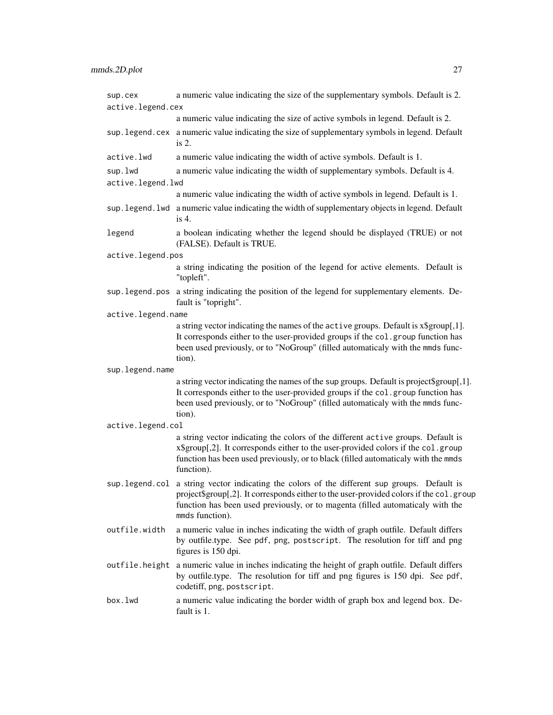| sup.cex            | a numeric value indicating the size of the supplementary symbols. Default is 2.                                                                                                                                                                                                              |
|--------------------|----------------------------------------------------------------------------------------------------------------------------------------------------------------------------------------------------------------------------------------------------------------------------------------------|
| active.legend.cex  | a numeric value indicating the size of active symbols in legend. Default is 2.                                                                                                                                                                                                               |
|                    | sup. legend. cex a numeric value indicating the size of supplementary symbols in legend. Default                                                                                                                                                                                             |
|                    | is $2$ .                                                                                                                                                                                                                                                                                     |
| active.lwd         | a numeric value indicating the width of active symbols. Default is 1.                                                                                                                                                                                                                        |
| sup.lwd            | a numeric value indicating the width of supplementary symbols. Default is 4.                                                                                                                                                                                                                 |
| active.legend.lwd  |                                                                                                                                                                                                                                                                                              |
|                    | a numeric value indicating the width of active symbols in legend. Default is 1.                                                                                                                                                                                                              |
|                    | sup. legend. 1wd a numeric value indicating the width of supplementary objects in legend. Default<br>is $4$ .                                                                                                                                                                                |
| legend             | a boolean indicating whether the legend should be displayed (TRUE) or not<br>(FALSE). Default is TRUE.                                                                                                                                                                                       |
| active.legend.pos  |                                                                                                                                                                                                                                                                                              |
|                    | a string indicating the position of the legend for active elements. Default is<br>"topleft".                                                                                                                                                                                                 |
| sup.legend.pos     | a string indicating the position of the legend for supplementary elements. De-<br>fault is "topright".                                                                                                                                                                                       |
| active.legend.name |                                                                                                                                                                                                                                                                                              |
|                    | a string vector indicating the names of the active groups. Default is x\$group[,1].<br>It corresponds either to the user-provided groups if the col.group function has<br>been used previously, or to "NoGroup" (filled automaticaly with the mmds func-<br>tion).                           |
| sup.legend.name    |                                                                                                                                                                                                                                                                                              |
|                    | a string vector indicating the names of the sup groups. Default is project\$group[,1].<br>It corresponds either to the user-provided groups if the col.group function has<br>been used previously, or to "NoGroup" (filled automaticaly with the mmds func-<br>tion).                        |
| active.legend.col  |                                                                                                                                                                                                                                                                                              |
|                    | a string vector indicating the colors of the different active groups. Default is<br>x\$group[,2]. It corresponds either to the user-provided colors if the col.group<br>function has been used previously, or to black (filled automaticaly with the mmds<br>function).                      |
|                    | sup. legend.col a string vector indicating the colors of the different sup groups. Default is<br>project\$group[,2]. It corresponds either to the user-provided colors if the col.group<br>function has been used previously, or to magenta (filled automaticaly with the<br>mmds function). |
| outfile.width      | a numeric value in inches indicating the width of graph outfile. Default differs<br>by outfile.type. See pdf, png, postscript. The resolution for tiff and png<br>figures is 150 dpi.                                                                                                        |
| outfile.height     | a numeric value in inches indicating the height of graph outfile. Default differs<br>by outfile.type. The resolution for tiff and png figures is 150 dpi. See pdf,<br>codetiff, png, postscript.                                                                                             |
| box.lwd            | a numeric value indicating the border width of graph box and legend box. De-<br>fault is 1.                                                                                                                                                                                                  |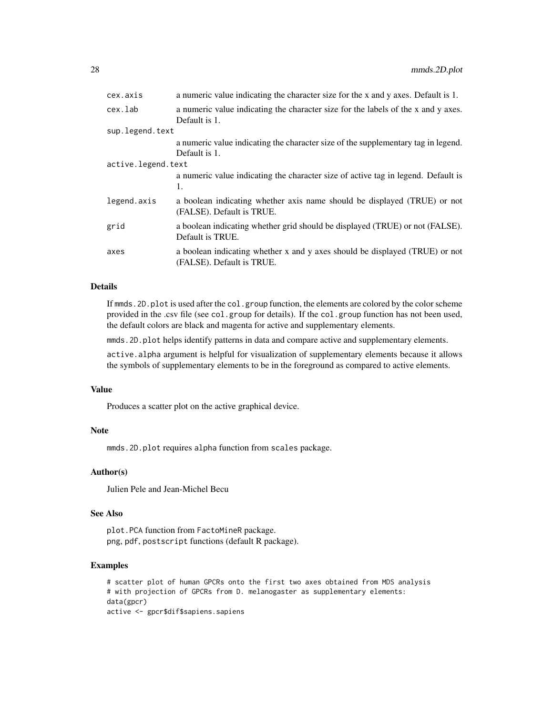| cex.axis           | a numeric value indicating the character size for the x and y axes. Default is 1.                        |  |
|--------------------|----------------------------------------------------------------------------------------------------------|--|
| cex.lab            | a numeric value indicating the character size for the labels of the x and y axes.<br>Default is 1.       |  |
| sup.legend.text    |                                                                                                          |  |
|                    | a numeric value indicating the character size of the supplementary tag in legend.<br>Default is 1.       |  |
| active.legend.text |                                                                                                          |  |
|                    | a numeric value indicating the character size of active tag in legend. Default is<br>1.                  |  |
| legend.axis        | a boolean indicating whether axis name should be displayed (TRUE) or not<br>(FALSE). Default is TRUE.    |  |
| grid               | a boolean indicating whether grid should be displayed (TRUE) or not (FALSE).<br>Default is TRUE.         |  |
| axes               | a boolean indicating whether x and y axes should be displayed (TRUE) or not<br>(FALSE). Default is TRUE. |  |

#### Details

If mmds.2D.plot is used after the col.group function, the elements are colored by the color scheme provided in the .csv file (see col.group for details). If the col.group function has not been used, the default colors are black and magenta for active and supplementary elements.

mmds.2D.plot helps identify patterns in data and compare active and supplementary elements.

active.alpha argument is helpful for visualization of supplementary elements because it allows the symbols of supplementary elements to be in the foreground as compared to active elements.

# Value

Produces a scatter plot on the active graphical device.

#### Note

mmds.2D.plot requires alpha function from scales package.

# Author(s)

Julien Pele and Jean-Michel Becu

# See Also

plot.PCA function from FactoMineR package. png, pdf, postscript functions (default R package).

# Examples

```
# scatter plot of human GPCRs onto the first two axes obtained from MDS analysis
# with projection of GPCRs from D. melanogaster as supplementary elements:
data(gpcr)
active <- gpcr$dif$sapiens.sapiens
```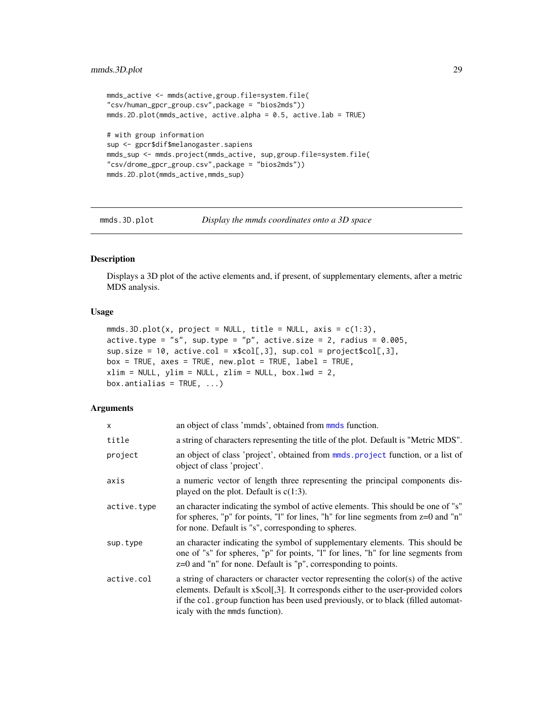```
mmds_active <- mmds(active,group.file=system.file(
"csv/human_gpcr_group.csv",package = "bios2mds"))
mmds.2D.plot(mmds_active, active.alpha = 0.5, active.lab = TRUE)
# with group information
sup <- gpcr$dif$melanogaster.sapiens
mmds_sup <- mmds.project(mmds_active, sup,group.file=system.file(
"csv/drome_gpcr_group.csv",package = "bios2mds"))
mmds.2D.plot(mmds_active,mmds_sup)
```
<span id="page-28-1"></span>

mmds.3D.plot *Display the mmds coordinates onto a 3D space*

#### Description

Displays a 3D plot of the active elements and, if present, of supplementary elements, after a metric MDS analysis.

#### Usage

```
mmds.3D.plot(x, project = NULL, title = NULL, axis = c(1:3),
active.type = "s", sup.type = "p", active.size = 2, radius = 0.005,
sup.size = 10, active,col = xscol[, 3], sup,col = projectscol[, 3],box = TRUE, axes = TRUE, new.plot = TRUE, label = TRUE,
xlim = NULL, ylim = NULL, zlim = NULL, box.1wd = 2,box.antialis = TRUE, ...)
```

| X           | an object of class 'mmds', obtained from mmds function.                                                                                                                                                                                                                                         |
|-------------|-------------------------------------------------------------------------------------------------------------------------------------------------------------------------------------------------------------------------------------------------------------------------------------------------|
| title       | a string of characters representing the title of the plot. Default is "Metric MDS".                                                                                                                                                                                                             |
| project     | an object of class 'project', obtained from mmds. project function, or a list of<br>object of class 'project'.                                                                                                                                                                                  |
| axis        | a numeric vector of length three representing the principal components dis-<br>played on the plot. Default is $c(1:3)$ .                                                                                                                                                                        |
| active.type | an character indicating the symbol of active elements. This should be one of "s"<br>for spheres, "p" for points, "l" for lines, "h" for line segments from $z=0$ and "n"<br>for none. Default is "s", corresponding to spheres.                                                                 |
| sup.type    | an character indicating the symbol of supplementary elements. This should be<br>one of "s" for spheres, "p" for points, "l" for lines, "h" for line segments from<br>$z=0$ and "n" for none. Default is "p", corresponding to points.                                                           |
| active.col  | a string of characters or character vector representing the color(s) of the active<br>elements. Default is x\$col[,3]. It corresponds either to the user-provided colors<br>if the col. group function has been used previously, or to black (filled automat-<br>icaly with the mmds function). |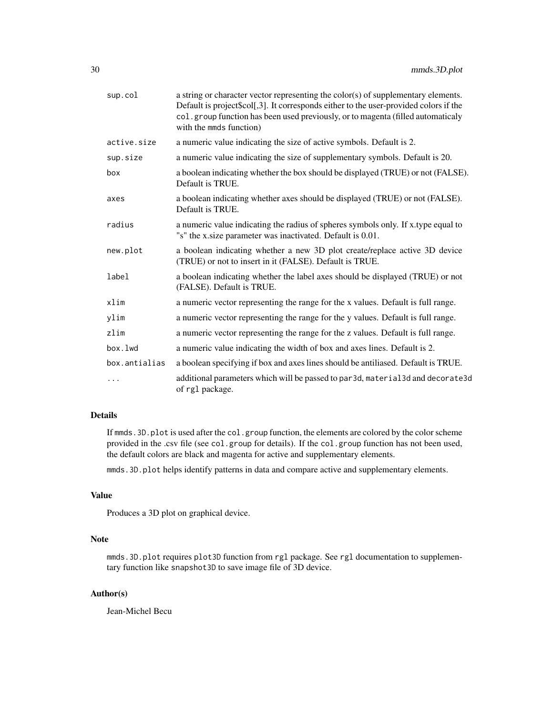| sup.col       | a string or character vector representing the color(s) of supplementary elements.<br>Default is project\$col[,3]. It corresponds either to the user-provided colors if the<br>col. group function has been used previously, or to magenta (filled automaticaly<br>with the mmds function) |
|---------------|-------------------------------------------------------------------------------------------------------------------------------------------------------------------------------------------------------------------------------------------------------------------------------------------|
| active.size   | a numeric value indicating the size of active symbols. Default is 2.                                                                                                                                                                                                                      |
| sup.size      | a numeric value indicating the size of supplementary symbols. Default is 20.                                                                                                                                                                                                              |
| box           | a boolean indicating whether the box should be displayed (TRUE) or not (FALSE).<br>Default is TRUE.                                                                                                                                                                                       |
| axes          | a boolean indicating whether axes should be displayed (TRUE) or not (FALSE).<br>Default is TRUE.                                                                                                                                                                                          |
| radius        | a numeric value indicating the radius of spheres symbols only. If x.type equal to<br>"s" the x.size parameter was inactivated. Default is 0.01.                                                                                                                                           |
| new.plot      | a boolean indicating whether a new 3D plot create/replace active 3D device<br>(TRUE) or not to insert in it (FALSE). Default is TRUE.                                                                                                                                                     |
| label         | a boolean indicating whether the label axes should be displayed (TRUE) or not<br>(FALSE). Default is TRUE.                                                                                                                                                                                |
| xlim          | a numeric vector representing the range for the x values. Default is full range.                                                                                                                                                                                                          |
| ylim          | a numeric vector representing the range for the y values. Default is full range.                                                                                                                                                                                                          |
| zlim          | a numeric vector representing the range for the z values. Default is full range.                                                                                                                                                                                                          |
| box.lwd       | a numeric value indicating the width of box and axes lines. Default is 2.                                                                                                                                                                                                                 |
| box.antialias | a boolean specifying if box and axes lines should be antiliased. Default is TRUE.                                                                                                                                                                                                         |
| .             | additional parameters which will be passed to par3d, material3d and decorate3d<br>of rg1 package.                                                                                                                                                                                         |

#### Details

If mmds. 3D. plot is used after the col.group function, the elements are colored by the color scheme provided in the .csv file (see col.group for details). If the col.group function has not been used, the default colors are black and magenta for active and supplementary elements.

mmds.3D.plot helps identify patterns in data and compare active and supplementary elements.

#### Value

Produces a 3D plot on graphical device.

# Note

mmds.3D.plot requires plot3D function from rgl package. See rgl documentation to supplementary function like snapshot3D to save image file of 3D device.

# Author(s)

Jean-Michel Becu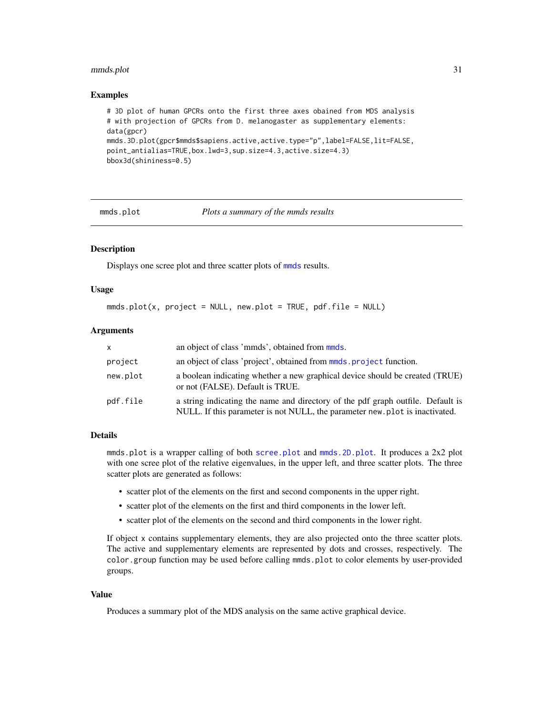#### <span id="page-30-0"></span>mmds.plot 31

#### Examples

```
# 3D plot of human GPCRs onto the first three axes obained from MDS analysis
# with projection of GPCRs from D. melanogaster as supplementary elements:
data(gpcr)
mmds.3D.plot(gpcr$mmds$sapiens.active,active.type="p",label=FALSE,lit=FALSE,
point_antialias=TRUE,box.lwd=3,sup.size=4.3,active.size=4.3)
bbox3d(shininess=0.5)
```
<span id="page-30-1"></span>

mmds.plot *Plots a summary of the mmds results*

### **Description**

Displays one scree plot and three scatter plots of [mmds](#page-19-1) results.

#### Usage

```
mmds.plot(x, project = NULL, new.plot = TRUE, pdf.file = NULL)
```
#### Arguments

| $\mathsf{x}$ | an object of class 'mmds', obtained from mmds.                                                                                                                 |
|--------------|----------------------------------------------------------------------------------------------------------------------------------------------------------------|
| project      | an object of class 'project', obtained from mmds project function.                                                                                             |
| new.plot     | a boolean indicating whether a new graphical device should be created (TRUE)<br>or not (FALSE). Default is TRUE.                                               |
| pdf.file     | a string indicating the name and directory of the pdf graph outfile. Default is<br>NULL. If this parameter is not NULL, the parameter new plot is inactivated. |

#### Details

mmds.plot is a wrapper calling of both [scree.plot](#page-35-1) and [mmds.2D.plot](#page-24-1). It produces a 2x2 plot with one scree plot of the relative eigenvalues, in the upper left, and three scatter plots. The three scatter plots are generated as follows:

- scatter plot of the elements on the first and second components in the upper right.
- scatter plot of the elements on the first and third components in the lower left.
- scatter plot of the elements on the second and third components in the lower right.

If object x contains supplementary elements, they are also projected onto the three scatter plots. The active and supplementary elements are represented by dots and crosses, respectively. The color.group function may be used before calling mmds.plot to color elements by user-provided groups.

#### Value

Produces a summary plot of the MDS analysis on the same active graphical device.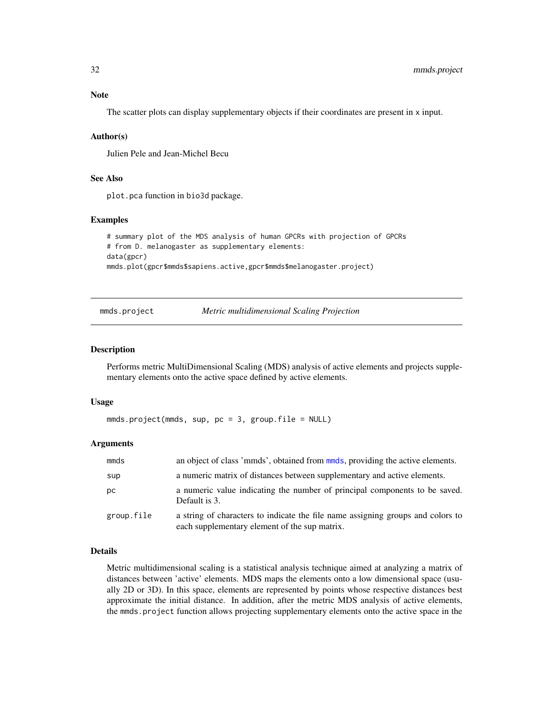# <span id="page-31-0"></span>Note

The scatter plots can display supplementary objects if their coordinates are present in x input.

### Author(s)

Julien Pele and Jean-Michel Becu

# See Also

plot.pca function in bio3d package.

# Examples

```
# summary plot of the MDS analysis of human GPCRs with projection of GPCRs
# from D. melanogaster as supplementary elements:
data(gpcr)
mmds.plot(gpcr$mmds$sapiens.active,gpcr$mmds$melanogaster.project)
```
mmds.project *Metric multidimensional Scaling Projection*

# Description

Performs metric MultiDimensional Scaling (MDS) analysis of active elements and projects supplementary elements onto the active space defined by active elements.

#### Usage

```
mmds.project(mmds, sup, pc = 3, group.file = NULL)
```
#### Arguments

| mmds       | an object of class 'mmds', obtained from mmds, providing the active elements.                                                    |
|------------|----------------------------------------------------------------------------------------------------------------------------------|
| sup        | a numeric matrix of distances between supplementary and active elements.                                                         |
| рc         | a numeric value indicating the number of principal components to be saved.<br>Default is 3.                                      |
| group.file | a string of characters to indicate the file name assigning groups and colors to<br>each supplementary element of the sup matrix. |

# Details

Metric multidimensional scaling is a statistical analysis technique aimed at analyzing a matrix of distances between 'active' elements. MDS maps the elements onto a low dimensional space (usually 2D or 3D). In this space, elements are represented by points whose respective distances best approximate the initial distance. In addition, after the metric MDS analysis of active elements, the mmds.project function allows projecting supplementary elements onto the active space in the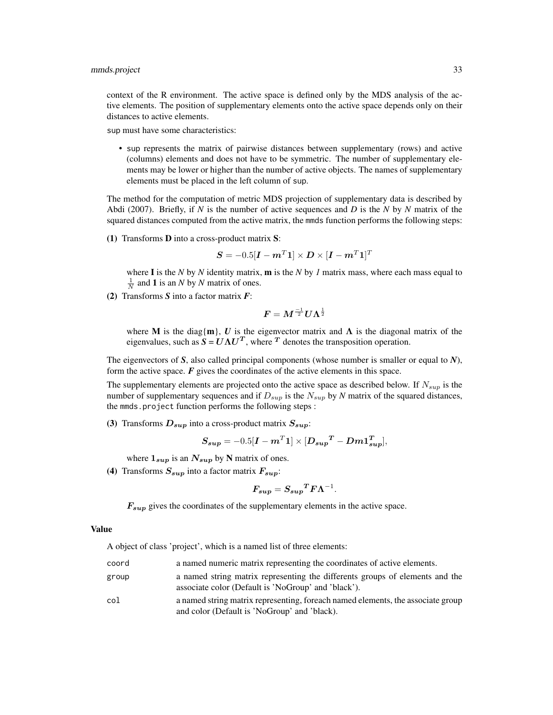#### mmds.project 33

context of the R environment. The active space is defined only by the MDS analysis of the active elements. The position of supplementary elements onto the active space depends only on their distances to active elements.

sup must have some characteristics:

• sup represents the matrix of pairwise distances between supplementary (rows) and active (columns) elements and does not have to be symmetric. The number of supplementary elements may be lower or higher than the number of active objects. The names of supplementary elements must be placed in the left column of sup.

The method for the computation of metric MDS projection of supplementary data is described by Abdi (2007). Briefly, if *N* is the number of active sequences and *D* is the *N* by *N* matrix of the squared distances computed from the active matrix, the mmds function performs the following steps:

(1) Transforms D into a cross-product matrix S:

$$
\boldsymbol{S} = -0.5[\boldsymbol{I} - \boldsymbol{m}^T \boldsymbol{1}] \times \boldsymbol{D} \times [\boldsymbol{I} - \boldsymbol{m}^T \boldsymbol{1}]^T
$$

where I is the *N* by *N* identity matrix, m is the *N* by *1* matrix mass, where each mass equal to  $\frac{1}{N}$  and **1** is an *N* by *N* matrix of ones.

(2) Transforms *S* into a factor matrix *F*:

$$
\boldsymbol{F} = \boldsymbol{M}^{\frac{-1}{2}} \boldsymbol{U}\boldsymbol{\Lambda}^{\frac{1}{2}}
$$

where M is the diag{m}, U is the eigenvector matrix and  $\Lambda$  is the diagonal matrix of the eigenvalues, such as  $S = U\Lambda U^T$ , where  $T$  denotes the transposition operation.

The eigenvectors of *S*, also called principal components (whose number is smaller or equal to *N*), form the active space.  $\vec{F}$  gives the coordinates of the active elements in this space.

The supplementary elements are projected onto the active space as described below. If  $N_{sup}$  is the number of supplementary sequences and if  $D_{sup}$  is the  $N_{sup}$  by  $N$  matrix of the squared distances, the mmds.project function performs the following steps :

(3) Transforms  $D_{sup}$  into a cross-product matrix  $S_{sup}$ :

$$
S_{sup} = -0.5[I - mT1] \times [D_{sup}^T - Dm1_{sup}^T],
$$

where  $1_{sup}$  is an  $N_{sup}$  by N matrix of ones.

(4) Transforms  $S_{sup}$  into a factor matrix  $F_{sup}$ :

$$
\pmb{F_{sup}} = \pmb{S_{sup}}^T \pmb{F} \pmb{\Lambda}^{-1}.
$$

 $F_{sup}$  gives the coordinates of the supplementary elements in the active space.

#### Value

A object of class 'project', which is a named list of three elements:

| coord | a named numeric matrix representing the coordinates of active elements.                                                             |
|-------|-------------------------------------------------------------------------------------------------------------------------------------|
| group | a named string matrix representing the differents groups of elements and the<br>associate color (Default is 'NoGroup' and 'black'). |
| col   | a named string matrix representing, for each named elements, the associate group<br>and color (Default is 'NoGroup' and 'black).    |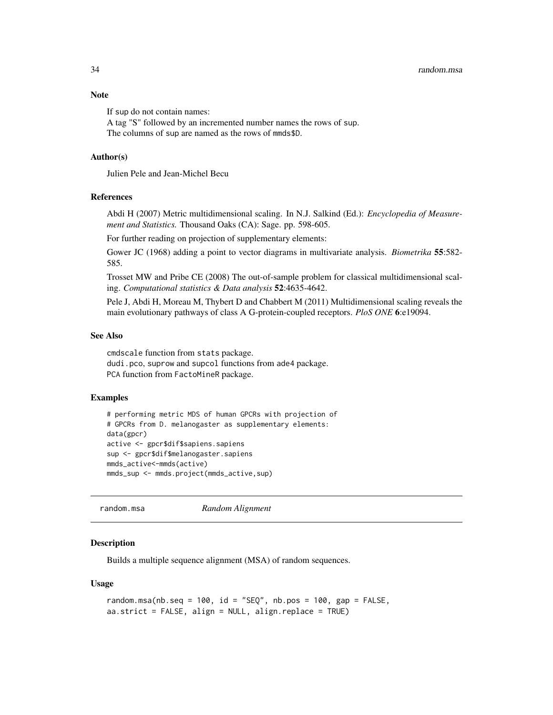# <span id="page-33-0"></span>Note

If sup do not contain names:

A tag "S" followed by an incremented number names the rows of sup. The columns of sup are named as the rows of mmds\$D.

#### Author(s)

Julien Pele and Jean-Michel Becu

#### **References**

Abdi H (2007) Metric multidimensional scaling. In N.J. Salkind (Ed.): *Encyclopedia of Measurement and Statistics.* Thousand Oaks (CA): Sage. pp. 598-605.

For further reading on projection of supplementary elements:

Gower JC (1968) adding a point to vector diagrams in multivariate analysis. *Biometrika* 55:582- 585.

Trosset MW and Pribe CE (2008) The out-of-sample problem for classical multidimensional scaling. *Computational statistics & Data analysis* 52:4635-4642.

Pele J, Abdi H, Moreau M, Thybert D and Chabbert M (2011) Multidimensional scaling reveals the main evolutionary pathways of class A G-protein-coupled receptors. *PloS ONE* 6:e19094.

#### See Also

cmdscale function from stats package. dudi.pco, suprow and supcol functions from ade4 package. PCA function from FactoMineR package.

#### Examples

```
# performing metric MDS of human GPCRs with projection of
# GPCRs from D. melanogaster as supplementary elements:
data(gpcr)
active <- gpcr$dif$sapiens.sapiens
sup <- gpcr$dif$melanogaster.sapiens
mmds_active<-mmds(active)
mmds_sup <- mmds.project(mmds_active,sup)
```
random.msa *Random Alignment*

#### Description

Builds a multiple sequence alignment (MSA) of random sequences.

#### Usage

```
random.msa(nb.seq = 100, id = "SEQ", nb.pos = 100, gap = FALSE,
aa.strict = FALSE, align = NULL, align.replace = TRUE)
```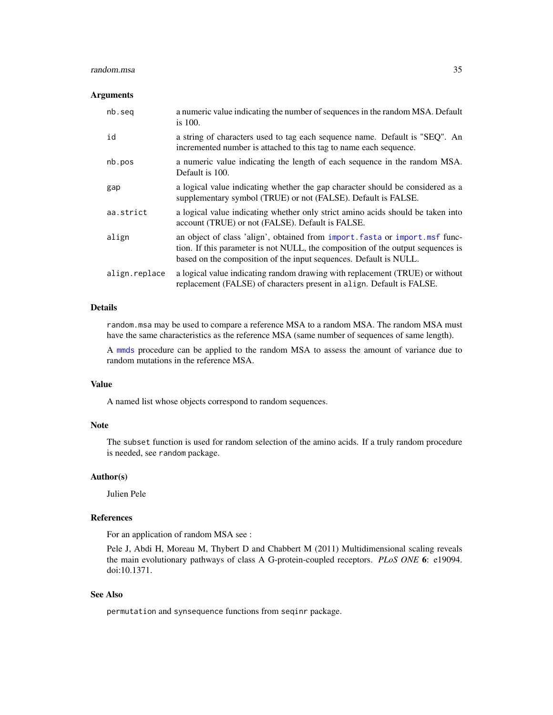#### <span id="page-34-0"></span>random.msa 35

#### **Arguments**

| nb.seg        | a numeric value indicating the number of sequences in the random MSA. Default<br>is $100.$                                                                                                                                           |
|---------------|--------------------------------------------------------------------------------------------------------------------------------------------------------------------------------------------------------------------------------------|
| id            | a string of characters used to tag each sequence name. Default is "SEQ". An<br>incremented number is attached to this tag to name each sequence.                                                                                     |
| nb.pos        | a numeric value indicating the length of each sequence in the random MSA.<br>Default is 100.                                                                                                                                         |
| gap           | a logical value indicating whether the gap character should be considered as a<br>supplementary symbol (TRUE) or not (FALSE). Default is FALSE.                                                                                      |
| aa.strict     | a logical value indicating whether only strict amino acids should be taken into<br>account (TRUE) or not (FALSE). Default is FALSE.                                                                                                  |
| align         | an object of class 'align', obtained from import. fasta or import. msf func-<br>tion. If this parameter is not NULL, the composition of the output sequences is<br>based on the composition of the input sequences. Default is NULL. |
| align.replace | a logical value indicating random drawing with replacement (TRUE) or without<br>replacement (FALSE) of characters present in align. Default is FALSE.                                                                                |

# Details

random.msa may be used to compare a reference MSA to a random MSA. The random MSA must have the same characteristics as the reference MSA (same number of sequences of same length).

A [mmds](#page-19-1) procedure can be applied to the random MSA to assess the amount of variance due to random mutations in the reference MSA.

# Value

A named list whose objects correspond to random sequences.

# Note

The subset function is used for random selection of the amino acids. If a truly random procedure is needed, see random package.

# Author(s)

Julien Pele

#### References

For an application of random MSA see :

Pele J, Abdi H, Moreau M, Thybert D and Chabbert M (2011) Multidimensional scaling reveals the main evolutionary pathways of class A G-protein-coupled receptors. *PLoS ONE* 6: e19094. doi:10.1371.

# See Also

permutation and synsequence functions from seqinr package.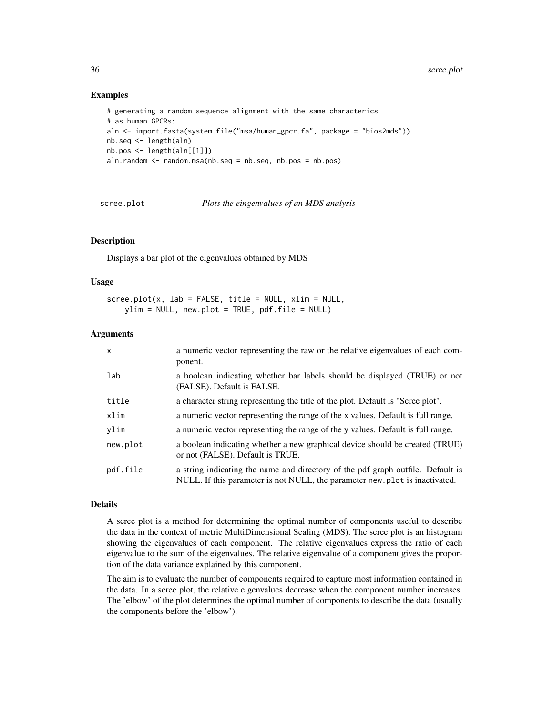# Examples

```
# generating a random sequence alignment with the same characterics
# as human GPCRs:
aln <- import.fasta(system.file("msa/human_gpcr.fa", package = "bios2mds"))
nb.seq <- length(aln)
nb.pos <- length(aln[[1]])
aln.random <- random.msa(nb.seq = nb.seq, nb.pos = nb.pos)
```
<span id="page-35-1"></span>

scree.plot *Plots the eingenvalues of an MDS analysis*

#### Description

Displays a bar plot of the eigenvalues obtained by MDS

#### Usage

scree.plot(x, lab = FALSE, title = NULL, xlim = NULL, ylim = NULL, new.plot = TRUE, pdf.file = NULL)

#### Arguments

| X        | a numeric vector representing the raw or the relative eigenvalues of each com-<br>ponent.                                                                      |
|----------|----------------------------------------------------------------------------------------------------------------------------------------------------------------|
| lab      | a boolean indicating whether bar labels should be displayed (TRUE) or not<br>(FALSE). Default is FALSE.                                                        |
| title    | a character string representing the title of the plot. Default is "Scree plot".                                                                                |
| xlim     | a numeric vector representing the range of the x values. Default is full range.                                                                                |
| ylim     | a numeric vector representing the range of the y values. Default is full range.                                                                                |
| new.plot | a boolean indicating whether a new graphical device should be created (TRUE)<br>or not (FALSE). Default is TRUE.                                               |
| pdf.file | a string indicating the name and directory of the pdf graph outfile. Default is<br>NULL. If this parameter is not NULL, the parameter new plot is inactivated. |

# Details

A scree plot is a method for determining the optimal number of components useful to describe the data in the context of metric MultiDimensional Scaling (MDS). The scree plot is an histogram showing the eigenvalues of each component. The relative eigenvalues express the ratio of each eigenvalue to the sum of the eigenvalues. The relative eigenvalue of a component gives the proportion of the data variance explained by this component.

The aim is to evaluate the number of components required to capture most information contained in the data. In a scree plot, the relative eigenvalues decrease when the component number increases. The 'elbow' of the plot determines the optimal number of components to describe the data (usually the components before the 'elbow').

<span id="page-35-0"></span>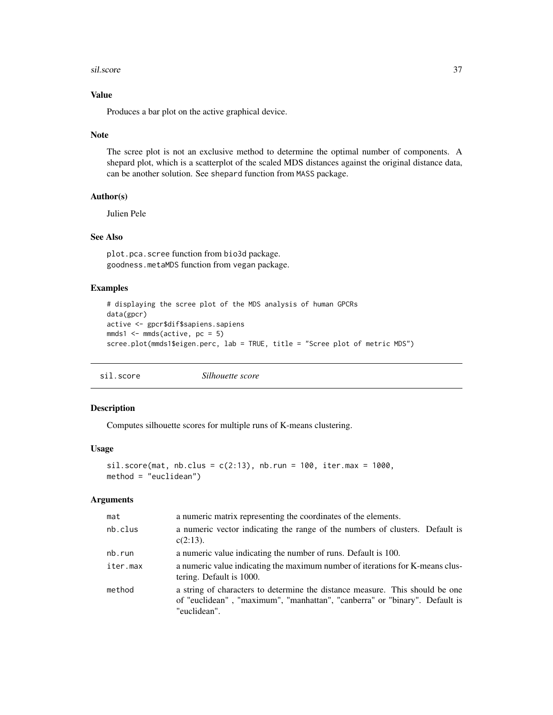#### <span id="page-36-0"></span>sil.score 37

# Value

Produces a bar plot on the active graphical device.

#### Note

The scree plot is not an exclusive method to determine the optimal number of components. A shepard plot, which is a scatterplot of the scaled MDS distances against the original distance data, can be another solution. See shepard function from MASS package.

# Author(s)

Julien Pele

# See Also

plot.pca.scree function from bio3d package. goodness.metaMDS function from vegan package.

# Examples

```
# displaying the scree plot of the MDS analysis of human GPCRs
data(gpcr)
active <- gpcr$dif$sapiens.sapiens
mmds1 \leq mmds(\text{active}, pc = 5)scree.plot(mmds1$eigen.perc, lab = TRUE, title = "Scree plot of metric MDS")
```
<span id="page-36-1"></span>sil.score *Silhouette score*

# Description

Computes silhouette scores for multiple runs of K-means clustering.

#### Usage

```
sil.score(mat, nb.class = c(2:13), nb.run = 100, iter.max = 1000,method = "euclidean")
```

| mat      | a numeric matrix representing the coordinates of the elements.                                                                                                             |
|----------|----------------------------------------------------------------------------------------------------------------------------------------------------------------------------|
| nb.clus  | a numeric vector indicating the range of the numbers of clusters. Default is<br>$c(2:13)$ .                                                                                |
| nb.run   | a numeric value indicating the number of runs. Default is 100.                                                                                                             |
| iter.max | a numeric value indicating the maximum number of iterations for K-means clus-<br>tering. Default is 1000.                                                                  |
| method   | a string of characters to determine the distance measure. This should be one<br>of "euclidean", "maximum", "manhattan", "canberra" or "binary". Default is<br>"euclidean". |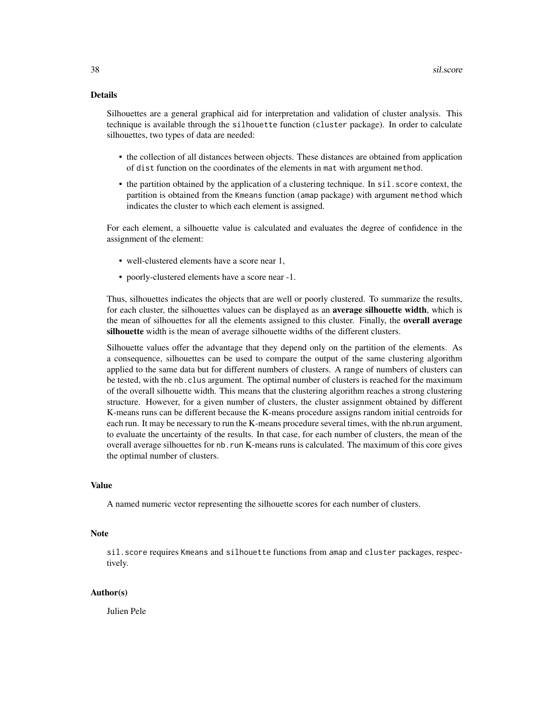# Details

Silhouettes are a general graphical aid for interpretation and validation of cluster analysis. This technique is available through the silhouette function (cluster package). In order to calculate silhouettes, two types of data are needed:

- the collection of all distances between objects. These distances are obtained from application of dist function on the coordinates of the elements in mat with argument method.
- the partition obtained by the application of a clustering technique. In sil. score context, the partition is obtained from the Kmeans function (amap package) with argument method which indicates the cluster to which each element is assigned.

For each element, a silhouette value is calculated and evaluates the degree of confidence in the assignment of the element:

- well-clustered elements have a score near 1,
- poorly-clustered elements have a score near -1.

Thus, silhouettes indicates the objects that are well or poorly clustered. To summarize the results, for each cluster, the silhouettes values can be displayed as an **average silhouette width**, which is the mean of silhouettes for all the elements assigned to this cluster. Finally, the **overall average** silhouette width is the mean of average silhouette widths of the different clusters.

Silhouette values offer the advantage that they depend only on the partition of the elements. As a consequence, silhouettes can be used to compare the output of the same clustering algorithm applied to the same data but for different numbers of clusters. A range of numbers of clusters can be tested, with the nb.clus argument. The optimal number of clusters is reached for the maximum of the overall silhouette width. This means that the clustering algorithm reaches a strong clustering structure. However, for a given number of clusters, the cluster assignment obtained by different K-means runs can be different because the K-means procedure assigns random initial centroids for each run. It may be necessary to run the K-means procedure several times, with the nb.run argument, to evaluate the uncertainty of the results. In that case, for each number of clusters, the mean of the overall average silhouettes for nb.run K-means runs is calculated. The maximum of this core gives the optimal number of clusters.

#### Value

A named numeric vector representing the silhouette scores for each number of clusters.

#### **Note**

sil.score requires Kmeans and silhouette functions from amap and cluster packages, respectively.

#### Author(s)

Julien Pele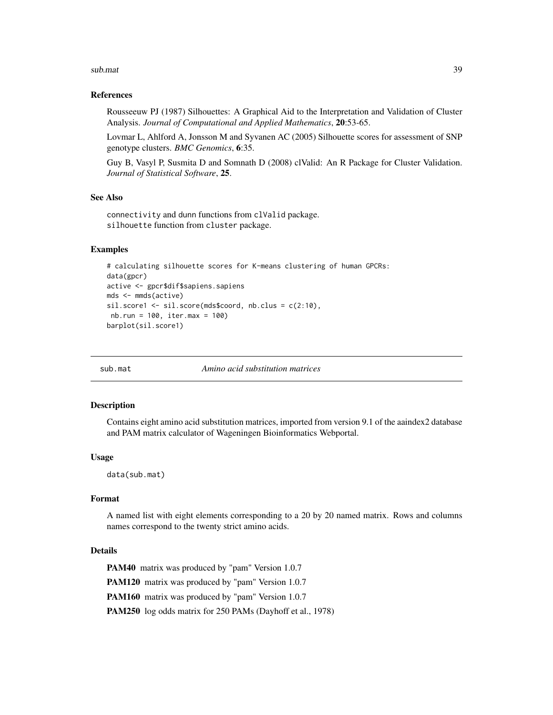#### <span id="page-38-0"></span>sub.mat 39

#### References

Rousseeuw PJ (1987) Silhouettes: A Graphical Aid to the Interpretation and Validation of Cluster Analysis. *Journal of Computational and Applied Mathematics*, 20:53-65.

Lovmar L, Ahlford A, Jonsson M and Syvanen AC (2005) Silhouette scores for assessment of SNP genotype clusters. *BMC Genomics*, 6:35.

Guy B, Vasyl P, Susmita D and Somnath D (2008) clValid: An R Package for Cluster Validation. *Journal of Statistical Software*, 25.

#### See Also

connectivity and dunn functions from clValid package. silhouette function from cluster package.

#### Examples

```
# calculating silhouette scores for K-means clustering of human GPCRs:
data(gpcr)
active <- gpcr$dif$sapiens.sapiens
mds <- mmds(active)
sil.score1 <- sil.score(mds$coord, nb.clus = c(2:10),
nb.run = 100, iter.max = 100)
barplot(sil.score1)
```
<span id="page-38-1"></span>sub.mat *Amino acid substitution matrices*

#### Description

Contains eight amino acid substitution matrices, imported from version 9.1 of the aaindex2 database and PAM matrix calculator of Wageningen Bioinformatics Webportal.

#### Usage

data(sub.mat)

# Format

A named list with eight elements corresponding to a 20 by 20 named matrix. Rows and columns names correspond to the twenty strict amino acids.

# Details

PAM40 matrix was produced by "pam" Version 1.0.7 PAM120 matrix was produced by "pam" Version 1.0.7 PAM160 matrix was produced by "pam" Version 1.0.7 PAM250 log odds matrix for 250 PAMs (Dayhoff et al., 1978)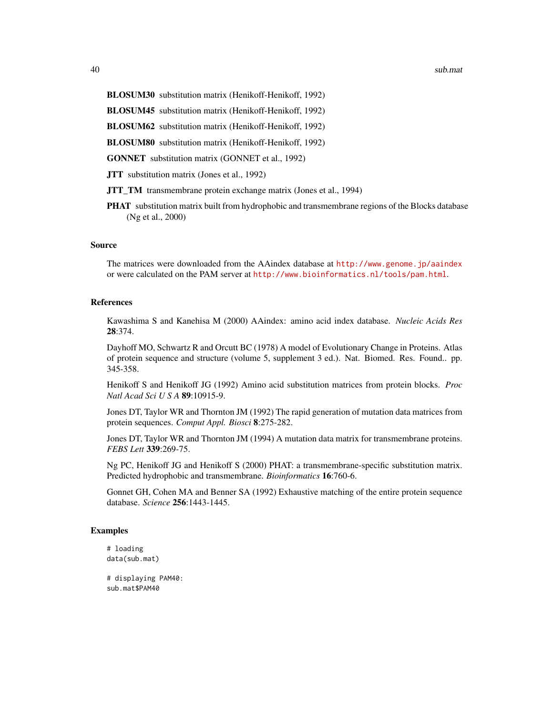40 sub.mathematic subsets of  $\sim$  sub-mathematic sub-mathematic sub-mathematic sub-mathematic sub-mathematic sub-mathematic sub-mathematic sub-mathematic sub-mathematic sub-mathematic sub-mathematic sub-mathematic sub-math

BLOSUM30 substitution matrix (Henikoff-Henikoff, 1992)

BLOSUM45 substitution matrix (Henikoff-Henikoff, 1992)

BLOSUM62 substitution matrix (Henikoff-Henikoff, 1992)

BLOSUM80 substitution matrix (Henikoff-Henikoff, 1992)

GONNET substitution matrix (GONNET et al., 1992)

**JTT** substitution matrix (Jones et al., 1992)

- JTT\_TM transmembrane protein exchange matrix (Jones et al., 1994)
- PHAT substitution matrix built from hydrophobic and transmembrane regions of the Blocks database (Ng et al., 2000)

#### Source

The matrices were downloaded from the AAindex database at <http://www.genome.jp/aaindex> or were calculated on the PAM server at <http://www.bioinformatics.nl/tools/pam.html>.

#### References

Kawashima S and Kanehisa M (2000) AAindex: amino acid index database. *Nucleic Acids Res* 28:374.

Dayhoff MO, Schwartz R and Orcutt BC (1978) A model of Evolutionary Change in Proteins. Atlas of protein sequence and structure (volume 5, supplement 3 ed.). Nat. Biomed. Res. Found.. pp. 345-358.

Henikoff S and Henikoff JG (1992) Amino acid substitution matrices from protein blocks. *Proc Natl Acad Sci U S A* 89:10915-9.

Jones DT, Taylor WR and Thornton JM (1992) The rapid generation of mutation data matrices from protein sequences. *Comput Appl. Biosci* 8:275-282.

Jones DT, Taylor WR and Thornton JM (1994) A mutation data matrix for transmembrane proteins. *FEBS Lett* 339:269-75.

Ng PC, Henikoff JG and Henikoff S (2000) PHAT: a transmembrane-specific substitution matrix. Predicted hydrophobic and transmembrane. *Bioinformatics* 16:760-6.

Gonnet GH, Cohen MA and Benner SA (1992) Exhaustive matching of the entire protein sequence database. *Science* 256:1443-1445.

# Examples

```
# loading
data(sub.mat)
```
# displaying PAM40: sub.mat\$PAM40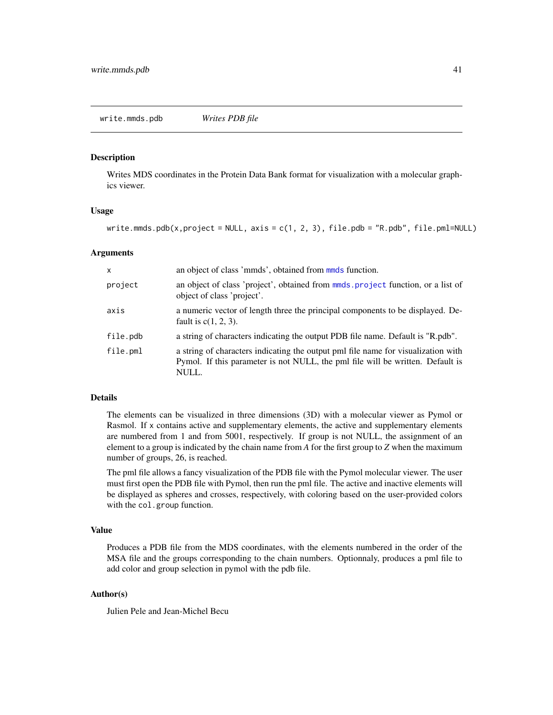#### <span id="page-40-1"></span><span id="page-40-0"></span>Description

Writes MDS coordinates in the Protein Data Bank format for visualization with a molecular graphics viewer.

#### Usage

write.mmds.pdb(x,project = NULL,  $axis = c(1, 2, 3)$ , file.pdb = "R.pdb", file.pml=NULL)

# Arguments

| $\times$ | an object of class 'mmds', obtained from mmds function.                                                                                                                      |
|----------|------------------------------------------------------------------------------------------------------------------------------------------------------------------------------|
| project  | an object of class 'project', obtained from mmds. project function, or a list of<br>object of class 'project'.                                                               |
| axis     | a numeric vector of length three the principal components to be displayed. De-<br>fault is $c(1, 2, 3)$ .                                                                    |
| file.pdb | a string of characters indicating the output PDB file name. Default is "R.pdb".                                                                                              |
| file.pml | a string of characters indicating the output pml file name for visualization with<br>Pymol. If this parameter is not NULL, the pml file will be written. Default is<br>NULL. |

# Details

The elements can be visualized in three dimensions (3D) with a molecular viewer as Pymol or Rasmol. If x contains active and supplementary elements, the active and supplementary elements are numbered from 1 and from 5001, respectively. If group is not NULL, the assignment of an element to a group is indicated by the chain name from *A* for the first group to *Z* when the maximum number of groups, 26, is reached.

The pml file allows a fancy visualization of the PDB file with the Pymol molecular viewer. The user must first open the PDB file with Pymol, then run the pml file. The active and inactive elements will be displayed as spheres and crosses, respectively, with coloring based on the user-provided colors with the col.group function.

#### Value

Produces a PDB file from the MDS coordinates, with the elements numbered in the order of the MSA file and the groups corresponding to the chain numbers. Optionnaly, produces a pml file to add color and group selection in pymol with the pdb file.

# Author(s)

Julien Pele and Jean-Michel Becu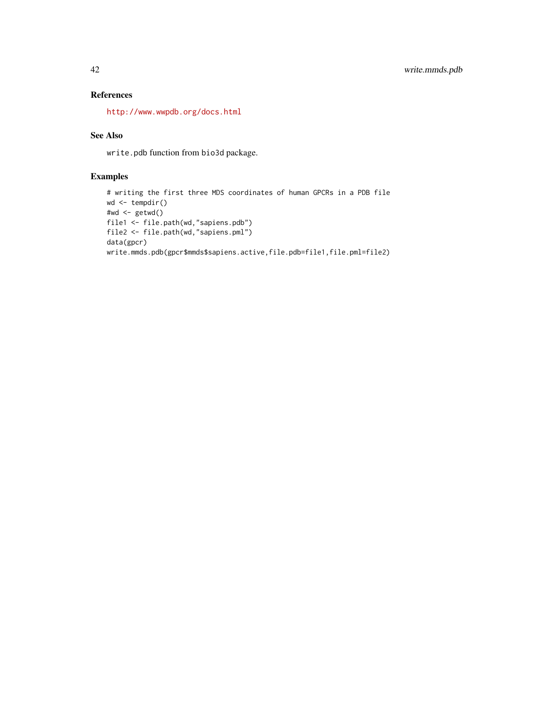# References

<http://www.wwpdb.org/docs.html>

# See Also

write.pdb function from bio3d package.

# Examples

```
# writing the first three MDS coordinates of human GPCRs in a PDB file
wd <- tempdir()
#wd <- getwd()
file1 <- file.path(wd,"sapiens.pdb")
file2 <- file.path(wd,"sapiens.pml")
data(gpcr)
write.mmds.pdb(gpcr$mmds$sapiens.active,file.pdb=file1,file.pml=file2)
```